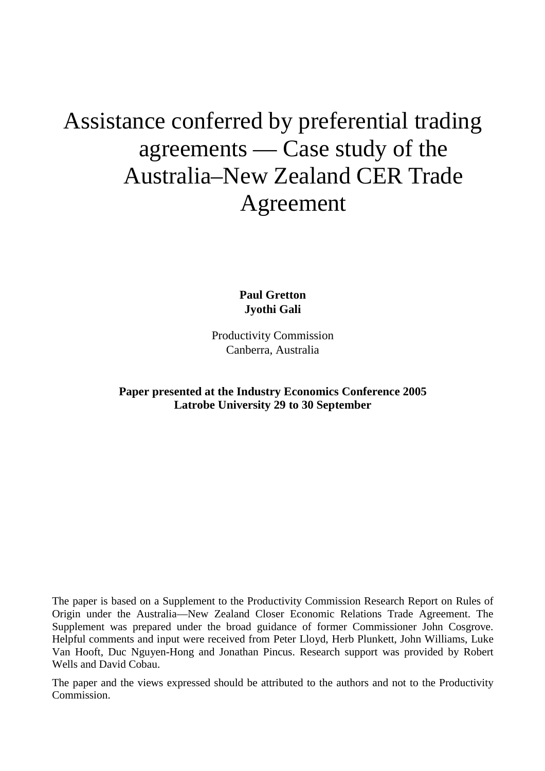# Assistance conferred by preferential trading agreements — Case study of the Australia–New Zealand CER Trade Agreement

**Paul Gretton Jyothi Gali** 

Productivity Commission Canberra, Australia

**Paper presented at the Industry Economics Conference 2005 Latrobe University 29 to 30 September** 

The paper is based on a Supplement to the Productivity Commission Research Report on Rules of Origin under the Australia—New Zealand Closer Economic Relations Trade Agreement. The Supplement was prepared under the broad guidance of former Commissioner John Cosgrove. Helpful comments and input were received from Peter Lloyd, Herb Plunkett, John Williams, Luke Van Hooft, Duc Nguyen-Hong and Jonathan Pincus. Research support was provided by Robert Wells and David Cobau.

The paper and the views expressed should be attributed to the authors and not to the Productivity Commission.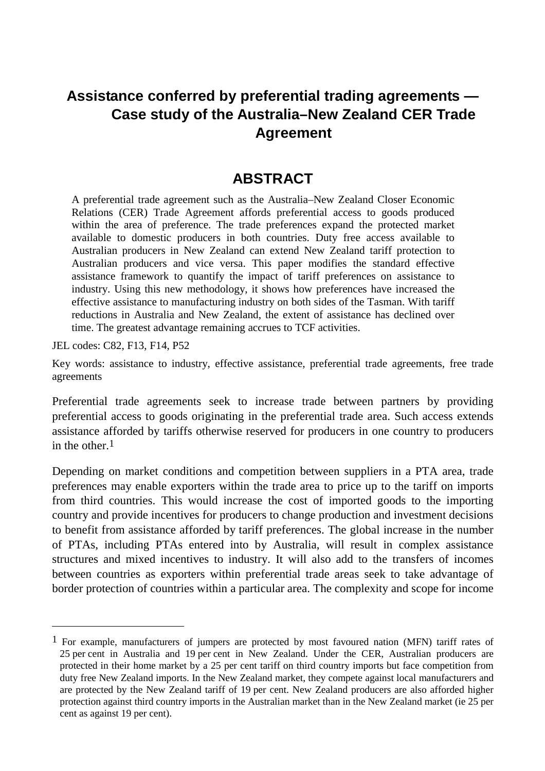### **Assistance conferred by preferential trading agreements — Case study of the Australia–New Zealand CER Trade Agreement**

### **ABSTRACT**

A preferential trade agreement such as the Australia–New Zealand Closer Economic Relations (CER) Trade Agreement affords preferential access to goods produced within the area of preference. The trade preferences expand the protected market available to domestic producers in both countries. Duty free access available to Australian producers in New Zealand can extend New Zealand tariff protection to Australian producers and vice versa. This paper modifies the standard effective assistance framework to quantify the impact of tariff preferences on assistance to industry. Using this new methodology, it shows how preferences have increased the effective assistance to manufacturing industry on both sides of the Tasman. With tariff reductions in Australia and New Zealand, the extent of assistance has declined over time. The greatest advantage remaining accrues to TCF activities.

JEL codes: C82, F13, F14, P52

-

Key words: assistance to industry, effective assistance, preferential trade agreements, free trade agreements

Preferential trade agreements seek to increase trade between partners by providing preferential access to goods originating in the preferential trade area. Such access extends assistance afforded by tariffs otherwise reserved for producers in one country to producers in the other  $1$ 

Depending on market conditions and competition between suppliers in a PTA area, trade preferences may enable exporters within the trade area to price up to the tariff on imports from third countries. This would increase the cost of imported goods to the importing country and provide incentives for producers to change production and investment decisions to benefit from assistance afforded by tariff preferences. The global increase in the number of PTAs, including PTAs entered into by Australia, will result in complex assistance structures and mixed incentives to industry. It will also add to the transfers of incomes between countries as exporters within preferential trade areas seek to take advantage of border protection of countries within a particular area. The complexity and scope for income

 $1$  For example, manufacturers of jumpers are protected by most favoured nation (MFN) tariff rates of 25 per cent in Australia and 19 per cent in New Zealand. Under the CER, Australian producers are protected in their home market by a 25 per cent tariff on third country imports but face competition from duty free New Zealand imports. In the New Zealand market, they compete against local manufacturers and are protected by the New Zealand tariff of 19 per cent. New Zealand producers are also afforded higher protection against third country imports in the Australian market than in the New Zealand market (ie 25 per cent as against 19 per cent).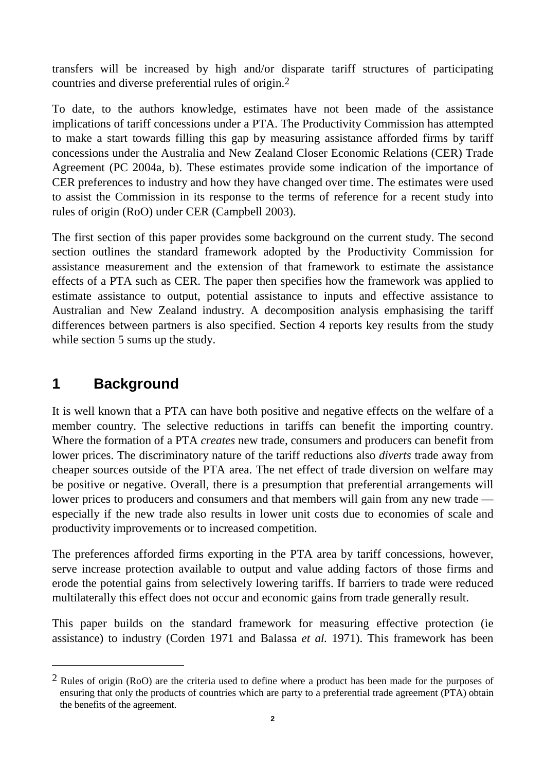transfers will be increased by high and/or disparate tariff structures of participating countries and diverse preferential rules of origin.2

To date, to the authors knowledge, estimates have not been made of the assistance implications of tariff concessions under a PTA. The Productivity Commission has attempted to make a start towards filling this gap by measuring assistance afforded firms by tariff concessions under the Australia and New Zealand Closer Economic Relations (CER) Trade Agreement (PC 2004a, b). These estimates provide some indication of the importance of CER preferences to industry and how they have changed over time. The estimates were used to assist the Commission in its response to the terms of reference for a recent study into rules of origin (RoO) under CER (Campbell 2003).

The first section of this paper provides some background on the current study. The second section outlines the standard framework adopted by the Productivity Commission for assistance measurement and the extension of that framework to estimate the assistance effects of a PTA such as CER. The paper then specifies how the framework was applied to estimate assistance to output, potential assistance to inputs and effective assistance to Australian and New Zealand industry. A decomposition analysis emphasising the tariff differences between partners is also specified. Section 4 reports key results from the study while section 5 sums up the study.

### **1 Background**

-

It is well known that a PTA can have both positive and negative effects on the welfare of a member country. The selective reductions in tariffs can benefit the importing country. Where the formation of a PTA *creates* new trade, consumers and producers can benefit from lower prices. The discriminatory nature of the tariff reductions also *diverts* trade away from cheaper sources outside of the PTA area. The net effect of trade diversion on welfare may be positive or negative. Overall, there is a presumption that preferential arrangements will lower prices to producers and consumers and that members will gain from any new trade especially if the new trade also results in lower unit costs due to economies of scale and productivity improvements or to increased competition.

The preferences afforded firms exporting in the PTA area by tariff concessions, however, serve increase protection available to output and value adding factors of those firms and erode the potential gains from selectively lowering tariffs. If barriers to trade were reduced multilaterally this effect does not occur and economic gains from trade generally result.

This paper builds on the standard framework for measuring effective protection (ie assistance) to industry (Corden 1971 and Balassa *et al.* 1971). This framework has been

<sup>2</sup> Rules of origin (RoO) are the criteria used to define where a product has been made for the purposes of ensuring that only the products of countries which are party to a preferential trade agreement (PTA) obtain the benefits of the agreement.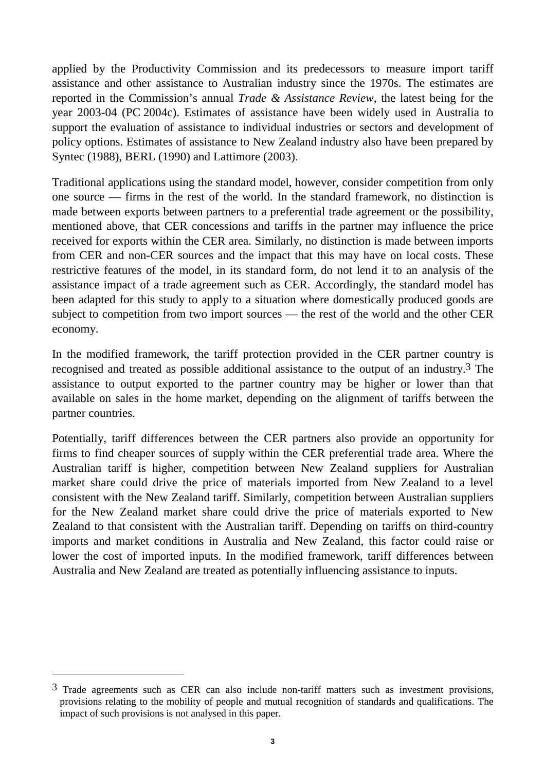applied by the Productivity Commission and its predecessors to measure import tariff assistance and other assistance to Australian industry since the 1970s. The estimates are reported in the Commission's annual *Trade & Assistance Review*, the latest being for the year 2003-04 (PC 2004c). Estimates of assistance have been widely used in Australia to support the evaluation of assistance to individual industries or sectors and development of policy options. Estimates of assistance to New Zealand industry also have been prepared by Syntec (1988), BERL (1990) and Lattimore (2003).

Traditional applications using the standard model, however, consider competition from only one source — firms in the rest of the world. In the standard framework, no distinction is made between exports between partners to a preferential trade agreement or the possibility, mentioned above, that CER concessions and tariffs in the partner may influence the price received for exports within the CER area. Similarly, no distinction is made between imports from CER and non-CER sources and the impact that this may have on local costs. These restrictive features of the model, in its standard form, do not lend it to an analysis of the assistance impact of a trade agreement such as CER. Accordingly, the standard model has been adapted for this study to apply to a situation where domestically produced goods are subject to competition from two import sources — the rest of the world and the other CER economy.

In the modified framework, the tariff protection provided in the CER partner country is recognised and treated as possible additional assistance to the output of an industry.3 The assistance to output exported to the partner country may be higher or lower than that available on sales in the home market, depending on the alignment of tariffs between the partner countries.

Potentially, tariff differences between the CER partners also provide an opportunity for firms to find cheaper sources of supply within the CER preferential trade area. Where the Australian tariff is higher, competition between New Zealand suppliers for Australian market share could drive the price of materials imported from New Zealand to a level consistent with the New Zealand tariff. Similarly, competition between Australian suppliers for the New Zealand market share could drive the price of materials exported to New Zealand to that consistent with the Australian tariff. Depending on tariffs on third-country imports and market conditions in Australia and New Zealand, this factor could raise or lower the cost of imported inputs. In the modified framework, tariff differences between Australia and New Zealand are treated as potentially influencing assistance to inputs.

 $\overline{a}$ 

<sup>3</sup> Trade agreements such as CER can also include non-tariff matters such as investment provisions, provisions relating to the mobility of people and mutual recognition of standards and qualifications. The impact of such provisions is not analysed in this paper.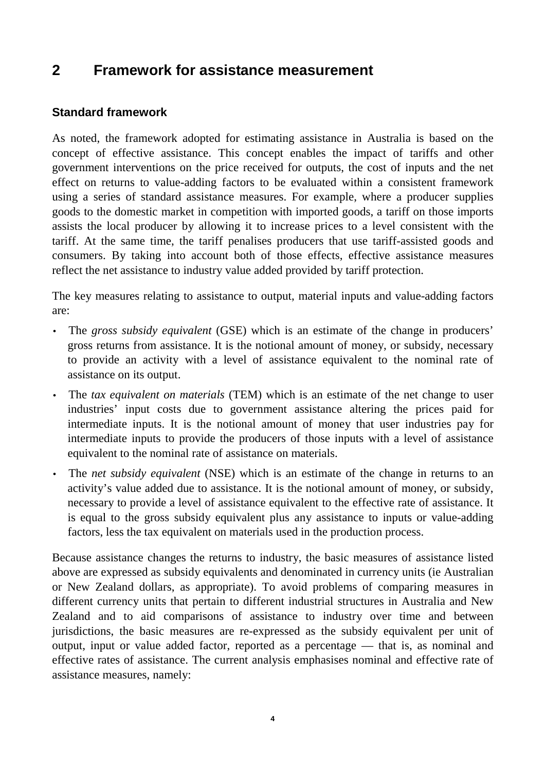#### $\overline{2}$ **2 Framework for assistance measurement**

#### **Standard framework**

As noted, the framework adopted for estimating assistance in Australia is based on the concept of effective assistance. This concept enables the impact of tariffs and other government interventions on the price received for outputs, the cost of inputs and the net effect on returns to value-adding factors to be evaluated within a consistent framework using a series of standard assistance measures. For example, where a producer supplies goods to the domestic market in competition with imported goods, a tariff on those imports assists the local producer by allowing it to increase prices to a level consistent with the tariff. At the same time, the tariff penalises producers that use tariff-assisted goods and consumers. By taking into account both of those effects, effective assistance measures reflect the net assistance to industry value added provided by tariff protection.

The key measures relating to assistance to output, material inputs and value-adding factors are:

- The *gross subsidy equivalent* (GSE) which is an estimate of the change in producers' gross returns from assistance. It is the notional amount of money, or subsidy, necessary to provide an activity with a level of assistance equivalent to the nominal rate of assistance on its output.
- The *tax equivalent on materials* (TEM) which is an estimate of the net change to user industries' input costs due to government assistance altering the prices paid for intermediate inputs. It is the notional amount of money that user industries pay for intermediate inputs to provide the producers of those inputs with a level of assistance equivalent to the nominal rate of assistance on materials.
- The *net subsidy equivalent* (NSE) which is an estimate of the change in returns to an activity's value added due to assistance. It is the notional amount of money, or subsidy, necessary to provide a level of assistance equivalent to the effective rate of assistance. It is equal to the gross subsidy equivalent plus any assistance to inputs or value-adding factors, less the tax equivalent on materials used in the production process.

Because assistance changes the returns to industry, the basic measures of assistance listed above are expressed as subsidy equivalents and denominated in currency units (ie Australian or New Zealand dollars, as appropriate). To avoid problems of comparing measures in different currency units that pertain to different industrial structures in Australia and New Zealand and to aid comparisons of assistance to industry over time and between jurisdictions, the basic measures are re-expressed as the subsidy equivalent per unit of output, input or value added factor, reported as a percentage — that is, as nominal and effective rates of assistance. The current analysis emphasises nominal and effective rate of assistance measures, namely: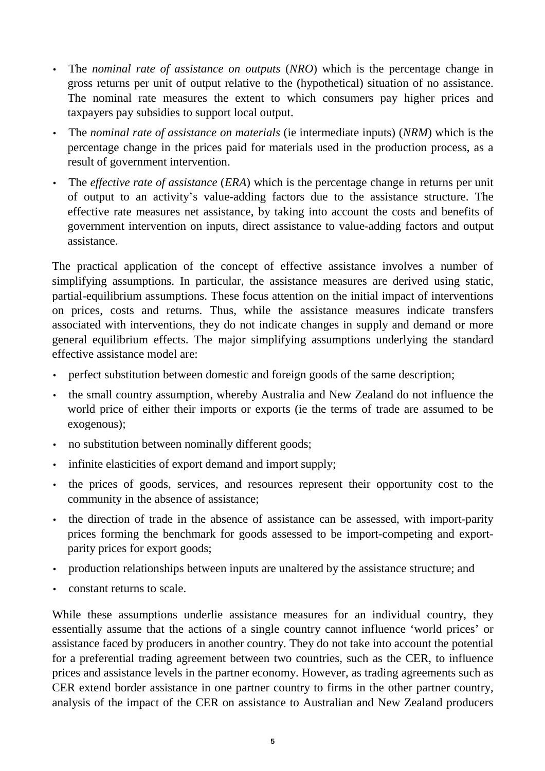- The *nominal rate of assistance on outputs* (*NRO*) which is the percentage change in gross returns per unit of output relative to the (hypothetical) situation of no assistance. The nominal rate measures the extent to which consumers pay higher prices and taxpayers pay subsidies to support local output.
- The *nominal rate of assistance on materials* (ie intermediate inputs) (*NRM*) which is the percentage change in the prices paid for materials used in the production process, as a result of government intervention.
- The *effective rate of assistance* (*ERA*) which is the percentage change in returns per unit of output to an activity's value-adding factors due to the assistance structure. The effective rate measures net assistance, by taking into account the costs and benefits of government intervention on inputs, direct assistance to value-adding factors and output assistance.

The practical application of the concept of effective assistance involves a number of simplifying assumptions. In particular, the assistance measures are derived using static, partial-equilibrium assumptions. These focus attention on the initial impact of interventions on prices, costs and returns. Thus, while the assistance measures indicate transfers associated with interventions, they do not indicate changes in supply and demand or more general equilibrium effects. The major simplifying assumptions underlying the standard effective assistance model are:

- perfect substitution between domestic and foreign goods of the same description;
- the small country assumption, whereby Australia and New Zealand do not influence the world price of either their imports or exports (ie the terms of trade are assumed to be exogenous);
- no substitution between nominally different goods;
- infinite elasticities of export demand and import supply;
- the prices of goods, services, and resources represent their opportunity cost to the community in the absence of assistance;
- the direction of trade in the absence of assistance can be assessed, with import-parity prices forming the benchmark for goods assessed to be import-competing and exportparity prices for export goods;
- production relationships between inputs are unaltered by the assistance structure; and
- constant returns to scale.

While these assumptions underlie assistance measures for an individual country, they essentially assume that the actions of a single country cannot influence 'world prices' or assistance faced by producers in another country. They do not take into account the potential for a preferential trading agreement between two countries, such as the CER, to influence prices and assistance levels in the partner economy. However, as trading agreements such as CER extend border assistance in one partner country to firms in the other partner country, analysis of the impact of the CER on assistance to Australian and New Zealand producers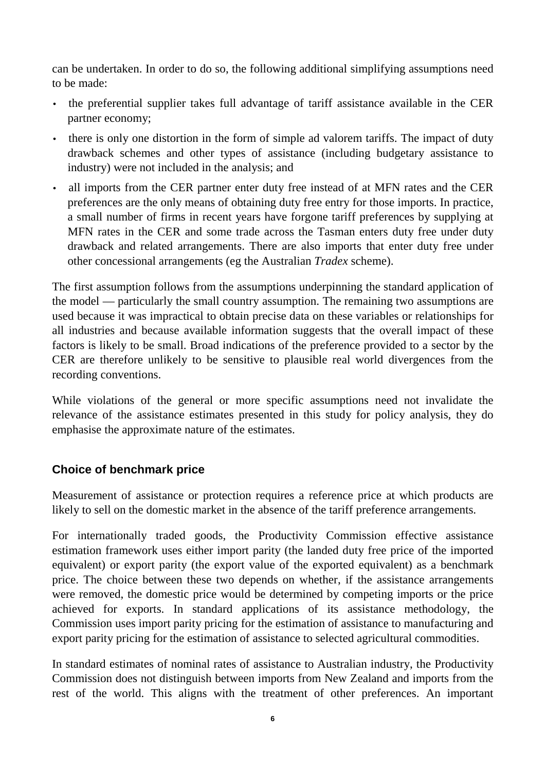can be undertaken. In order to do so, the following additional simplifying assumptions need to be made:

- the preferential supplier takes full advantage of tariff assistance available in the CER partner economy;
- there is only one distortion in the form of simple ad valorem tariffs. The impact of duty drawback schemes and other types of assistance (including budgetary assistance to industry) were not included in the analysis; and
- all imports from the CER partner enter duty free instead of at MFN rates and the CER preferences are the only means of obtaining duty free entry for those imports. In practice, a small number of firms in recent years have forgone tariff preferences by supplying at MFN rates in the CER and some trade across the Tasman enters duty free under duty drawback and related arrangements. There are also imports that enter duty free under other concessional arrangements (eg the Australian *Tradex* scheme).

The first assumption follows from the assumptions underpinning the standard application of the model — particularly the small country assumption. The remaining two assumptions are used because it was impractical to obtain precise data on these variables or relationships for all industries and because available information suggests that the overall impact of these factors is likely to be small. Broad indications of the preference provided to a sector by the CER are therefore unlikely to be sensitive to plausible real world divergences from the recording conventions.

While violations of the general or more specific assumptions need not invalidate the relevance of the assistance estimates presented in this study for policy analysis, they do emphasise the approximate nature of the estimates.

### **Choice of benchmark price**

Measurement of assistance or protection requires a reference price at which products are likely to sell on the domestic market in the absence of the tariff preference arrangements.

For internationally traded goods, the Productivity Commission effective assistance estimation framework uses either import parity (the landed duty free price of the imported equivalent) or export parity (the export value of the exported equivalent) as a benchmark price. The choice between these two depends on whether, if the assistance arrangements were removed, the domestic price would be determined by competing imports or the price achieved for exports. In standard applications of its assistance methodology, the Commission uses import parity pricing for the estimation of assistance to manufacturing and export parity pricing for the estimation of assistance to selected agricultural commodities.

In standard estimates of nominal rates of assistance to Australian industry, the Productivity Commission does not distinguish between imports from New Zealand and imports from the rest of the world. This aligns with the treatment of other preferences. An important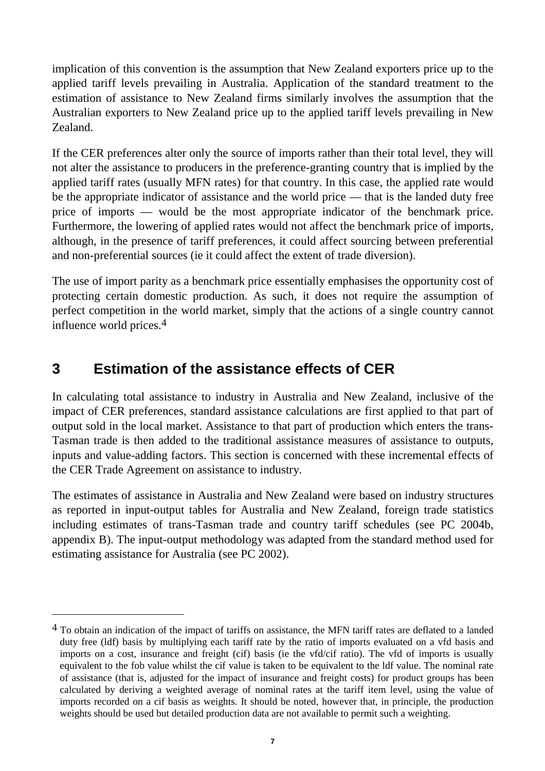$\overline{\phantom{a}}$ implication of this convention is the assumption that New Zealand exporters price up to the applied tariff levels prevailing in Australia. Application of the standard treatment to the estimation of assistance to New Zealand firms similarly involves the assumption that the Australian exporters to New Zealand price up to the applied tariff levels prevailing in New Zealand.

If the CER preferences alter only the source of imports rather than their total level, they will not alter the assistance to producers in the preference-granting country that is implied by the applied tariff rates (usually MFN rates) for that country. In this case, the applied rate would be the appropriate indicator of assistance and the world price — that is the landed duty free price of imports — would be the most appropriate indicator of the benchmark price. Furthermore, the lowering of applied rates would not affect the benchmark price of imports, although, in the presence of tariff preferences, it could affect sourcing between preferential and non-preferential sources (ie it could affect the extent of trade diversion).

The use of import parity as a benchmark price essentially emphasises the opportunity cost of protecting certain domestic production. As such, it does not require the assumption of perfect competition in the world market, simply that the actions of a single country cannot influence world prices.4

# **3 Estimation of the assistance effects of CER**

-

In calculating total assistance to industry in Australia and New Zealand, inclusive of the impact of CER preferences, standard assistance calculations are first applied to that part of output sold in the local market. Assistance to that part of production which enters the trans-Tasman trade is then added to the traditional assistance measures of assistance to outputs, inputs and value-adding factors. This section is concerned with these incremental effects of the CER Trade Agreement on assistance to industry.

The estimates of assistance in Australia and New Zealand were based on industry structures as reported in input-output tables for Australia and New Zealand, foreign trade statistics including estimates of trans-Tasman trade and country tariff schedules (see PC 2004b, appendix B). The input-output methodology was adapted from the standard method used for estimating assistance for Australia (see PC 2002).

<sup>&</sup>lt;sup>4</sup> To obtain an indication of the impact of tariffs on assistance, the MFN tariff rates are deflated to a landed duty free (ldf) basis by multiplying each tariff rate by the ratio of imports evaluated on a vfd basis and imports on a cost, insurance and freight (cif) basis (ie the vfd/cif ratio). The vfd of imports is usually equivalent to the fob value whilst the cif value is taken to be equivalent to the ldf value. The nominal rate of assistance (that is, adjusted for the impact of insurance and freight costs) for product groups has been calculated by deriving a weighted average of nominal rates at the tariff item level, using the value of imports recorded on a cif basis as weights. It should be noted, however that, in principle, the production weights should be used but detailed production data are not available to permit such a weighting.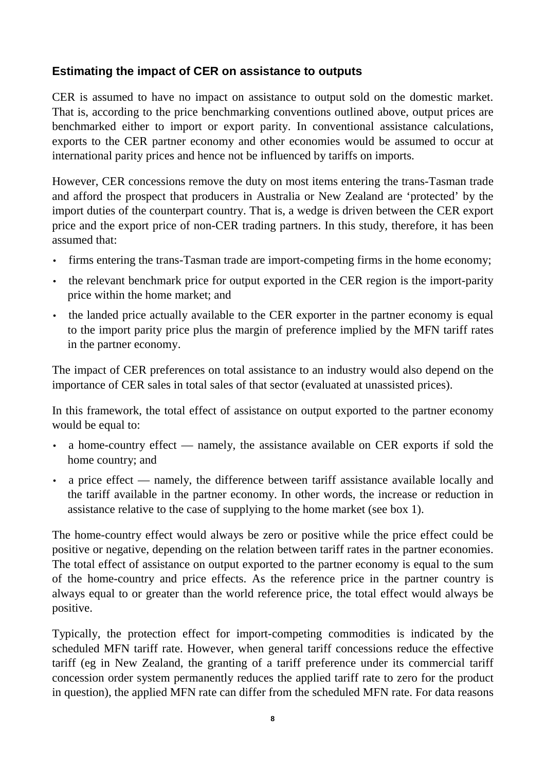#### **Estimating the impact of CER on assistance to outputs**

CER is assumed to have no impact on assistance to output sold on the domestic market. That is, according to the price benchmarking conventions outlined above, output prices are benchmarked either to import or export parity. In conventional assistance calculations, exports to the CER partner economy and other economies would be assumed to occur at international parity prices and hence not be influenced by tariffs on imports.

However, CER concessions remove the duty on most items entering the trans-Tasman trade and afford the prospect that producers in Australia or New Zealand are 'protected' by the import duties of the counterpart country. That is, a wedge is driven between the CER export price and the export price of non-CER trading partners. In this study, therefore, it has been assumed that:

- firms entering the trans-Tasman trade are import-competing firms in the home economy;
- the relevant benchmark price for output exported in the CER region is the import-parity price within the home market; and
- the landed price actually available to the CER exporter in the partner economy is equal to the import parity price plus the margin of preference implied by the MFN tariff rates in the partner economy.

The impact of CER preferences on total assistance to an industry would also depend on the importance of CER sales in total sales of that sector (evaluated at unassisted prices).

In this framework, the total effect of assistance on output exported to the partner economy would be equal to:

- a home-country effect namely, the assistance available on CER exports if sold the home country; and
- a price effect namely, the difference between tariff assistance available locally and the tariff available in the partner economy. In other words, the increase or reduction in assistance relative to the case of supplying to the home market (see box 1).

The home-country effect would always be zero or positive while the price effect could be positive or negative, depending on the relation between tariff rates in the partner economies. The total effect of assistance on output exported to the partner economy is equal to the sum of the home-country and price effects. As the reference price in the partner country is always equal to or greater than the world reference price, the total effect would always be positive.

Typically, the protection effect for import-competing commodities is indicated by the scheduled MFN tariff rate. However, when general tariff concessions reduce the effective tariff (eg in New Zealand, the granting of a tariff preference under its commercial tariff concession order system permanently reduces the applied tariff rate to zero for the product in question), the applied MFN rate can differ from the scheduled MFN rate. For data reasons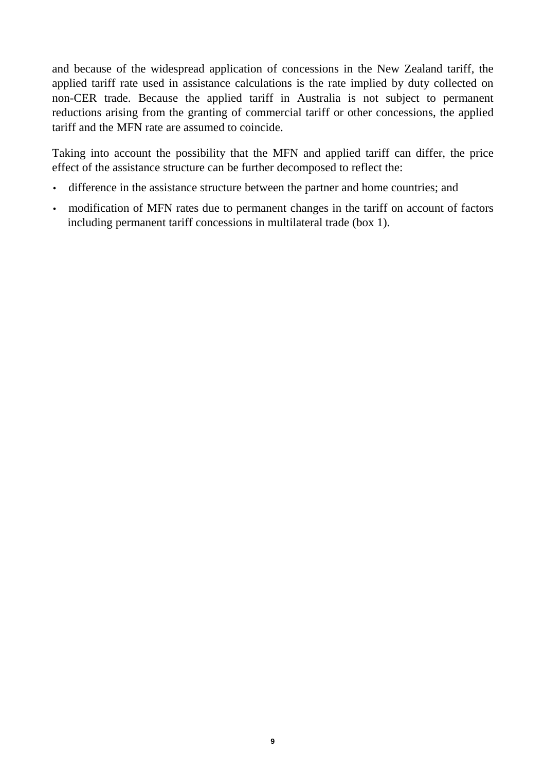and because of the widespread application of concessions in the New Zealand tariff, the applied tariff rate used in assistance calculations is the rate implied by duty collected on non-CER trade. Because the applied tariff in Australia is not subject to permanent reductions arising from the granting of commercial tariff or other concessions, the applied tariff and the MFN rate are assumed to coincide.

Taking into account the possibility that the MFN and applied tariff can differ, the price effect of the assistance structure can be further decomposed to reflect the:

- difference in the assistance structure between the partner and home countries; and
- modification of MFN rates due to permanent changes in the tariff on account of factors including permanent tariff concessions in multilateral trade (box 1).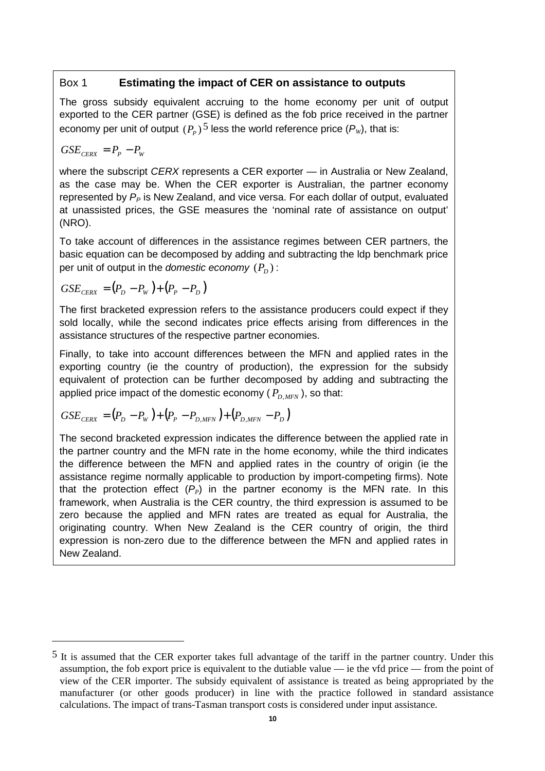#### Box 1 **Estimating the impact of CER on assistance to outputs**

The gross subsidy equivalent accruing to the home economy per unit of output exported to the CER partner (GSE) is defined as the fob price received in the partner economy per unit of output  $(P_p)^5$  less the world reference price  $(P_w)$ , that is:

$$
GSE_{CERX} = P_p - P_w
$$

 $\overline{a}$ 

where the subscript CERX represents a CER exporter — in Australia or New Zealand, as the case may be. When the CER exporter is Australian, the partner economy represented by  $P_P$  is New Zealand, and vice versa. For each dollar of output, evaluated at unassisted prices, the GSE measures the 'nominal rate of assistance on output' (NRO).

To take account of differences in the assistance regimes between CER partners, the basic equation can be decomposed by adding and subtracting the ldp benchmark price per unit of output in the *domestic economy*  $(P_D)$ :

$$
GSE_{CERX} = (P_D - P_W) + (P_P - P_D)
$$

The first bracketed expression refers to the assistance producers could expect if they sold locally, while the second indicates price effects arising from differences in the assistance structures of the respective partner economies.

Finally, to take into account differences between the MFN and applied rates in the exporting country (ie the country of production), the expression for the subsidy equivalent of protection can be further decomposed by adding and subtracting the applied price impact of the domestic economy  $(P_{D\ MFN})$ , so that:

$$
GSE_{CERX} = (P_D - P_W) + (P_P - P_{D,MFN}) + (P_{D,MFN} - P_D)
$$

The second bracketed expression indicates the difference between the applied rate in the partner country and the MFN rate in the home economy, while the third indicates the difference between the MFN and applied rates in the country of origin (ie the assistance regime normally applicable to production by import-competing firms). Note that the protection effect  $(P_P)$  in the partner economy is the MFN rate. In this framework, when Australia is the CER country, the third expression is assumed to be zero because the applied and MFN rates are treated as equal for Australia, the originating country. When New Zealand is the CER country of origin, the third expression is non-zero due to the difference between the MFN and applied rates in New Zealand.

<sup>&</sup>lt;sup>5</sup> It is assumed that the CER exporter takes full advantage of the tariff in the partner country. Under this assumption, the fob export price is equivalent to the dutiable value — ie the vfd price — from the point of view of the CER importer. The subsidy equivalent of assistance is treated as being appropriated by the manufacturer (or other goods producer) in line with the practice followed in standard assistance calculations. The impact of trans-Tasman transport costs is considered under input assistance.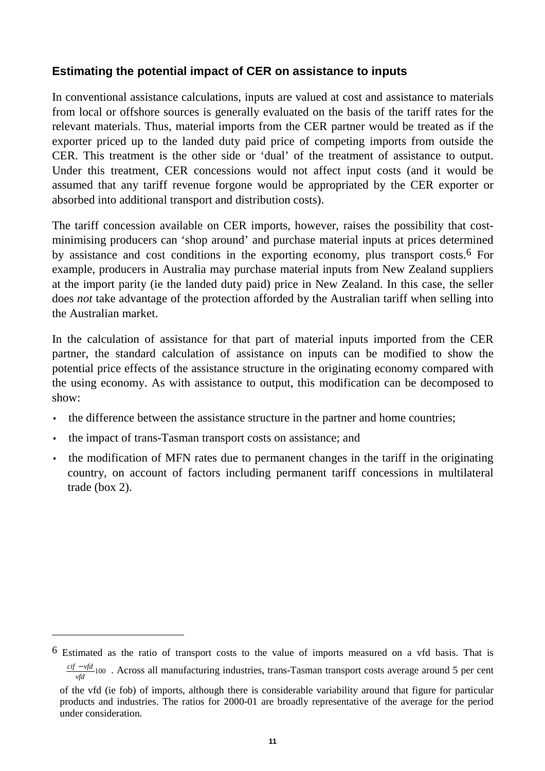#### **Estimating the potential impact of CER on assistance to inputs**

In conventional assistance calculations, inputs are valued at cost and assistance to materials from local or offshore sources is generally evaluated on the basis of the tariff rates for the relevant materials. Thus, material imports from the CER partner would be treated as if the exporter priced up to the landed duty paid price of competing imports from outside the CER. This treatment is the other side or 'dual' of the treatment of assistance to output. Under this treatment, CER concessions would not affect input costs (and it would be assumed that any tariff revenue forgone would be appropriated by the CER exporter or absorbed into additional transport and distribution costs).

The tariff concession available on CER imports, however, raises the possibility that costminimising producers can 'shop around' and purchase material inputs at prices determined by assistance and cost conditions in the exporting economy, plus transport costs.6 For example, producers in Australia may purchase material inputs from New Zealand suppliers at the import parity (ie the landed duty paid) price in New Zealand. In this case, the seller does *not* take advantage of the protection afforded by the Australian tariff when selling into the Australian market.

In the calculation of assistance for that part of material inputs imported from the CER partner, the standard calculation of assistance on inputs can be modified to show the potential price effects of the assistance structure in the originating economy compared with the using economy. As with assistance to output, this modification can be decomposed to show:

- the difference between the assistance structure in the partner and home countries;
- the impact of trans-Tasman transport costs on assistance; and

-

• the modification of MFN rates due to permanent changes in the tariff in the originating country, on account of factors including permanent tariff concessions in multilateral trade (box 2).

<sup>6</sup> Estimated as the ratio of transport costs to the value of imports measured on a vfd basis. That is  $\overline{1}$ Ì  $\left(\frac{cif - vfd}{vfd}$  100). Across all manufacturing industries, trans-Tasman transport costs average around 5 per cent l of the vfd (ie fob) of imports, although there is considerable variability around that figure for particular products and industries. The ratios for 2000-01 are broadly representative of the average for the period under consideration.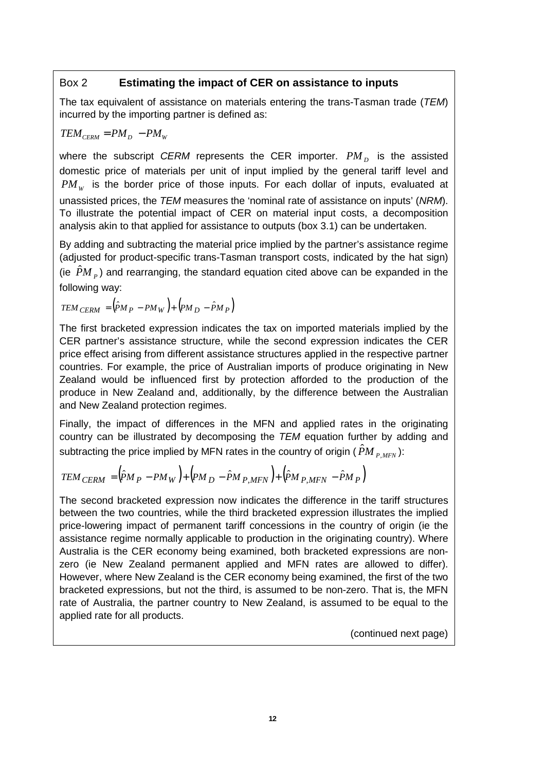#### Box 2 **Estimating the impact of CER on assistance to inputs**

The tax equivalent of assistance on materials entering the trans-Tasman trade (TEM) incurred by the importing partner is defined as:

$$
TEM_{CERN} = PM_D - PM_W
$$

where the subscript *CERM* represents the CER importer.  $PM<sub>D</sub>$  is the assisted domestic price of materials per unit of input implied by the general tariff level and  $PM_w$  is the border price of those inputs. For each dollar of inputs, evaluated at unassisted prices, the TEM measures the 'nominal rate of assistance on inputs' (NRM). To illustrate the potential impact of CER on material input costs, a decomposition analysis akin to that applied for assistance to outputs (box 3.1) can be undertaken.

By adding and subtracting the material price implied by the partner's assistance regime (adjusted for product-specific trans-Tasman transport costs, indicated by the hat sign) (ie  $\hat{P}M$ <sub>p</sub>) and rearranging, the standard equation cited above can be expanded in the following way:

$$
TEM_{CERM} = (\hat{P}M_P - PM_W) + (PM_D - \hat{P}M_P)
$$

The first bracketed expression indicates the tax on imported materials implied by the CER partner's assistance structure, while the second expression indicates the CER price effect arising from different assistance structures applied in the respective partner countries. For example, the price of Australian imports of produce originating in New Zealand would be influenced first by protection afforded to the production of the produce in New Zealand and, additionally, by the difference between the Australian and New Zealand protection regimes.

Finally, the impact of differences in the MFN and applied rates in the originating country can be illustrated by decomposing the TEM equation further by adding and subtracting the price implied by MFN rates in the country of origin ( $\hat{P}M_{P,MFN}$ ):

$$
TEM_{CERM} = (\hat{P}M_P - PM_W) + (PM_D - \hat{P}M_{P,MFN}) + (\hat{P}M_{P,MFN} - \hat{P}M_P)
$$

The second bracketed expression now indicates the difference in the tariff structures between the two countries, while the third bracketed expression illustrates the implied price-lowering impact of permanent tariff concessions in the country of origin (ie the assistance regime normally applicable to production in the originating country). Where Australia is the CER economy being examined, both bracketed expressions are nonzero (ie New Zealand permanent applied and MFN rates are allowed to differ). However, where New Zealand is the CER economy being examined, the first of the two bracketed expressions, but not the third, is assumed to be non-zero. That is, the MFN rate of Australia, the partner country to New Zealand, is assumed to be equal to the applied rate for all products.

(continued next page)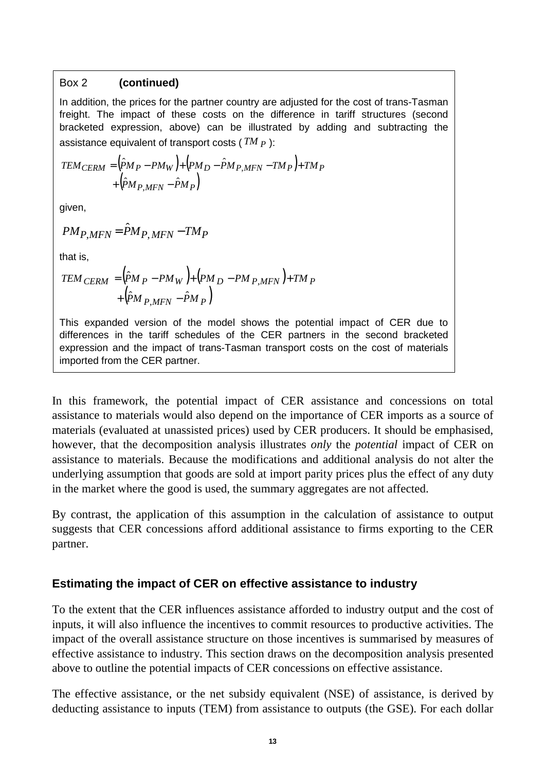#### Box 2 **(continued)**

In addition, the prices for the partner country are adjusted for the cost of trans-Tasman freight. The impact of these costs on the difference in tariff structures (second bracketed expression, above) can be illustrated by adding and subtracting the assistance equivalent of transport costs ( *TM P* ):

$$
TEM_{CERM} = (\hat{P}M_P - PM_W) + (PM_D - \hat{P}M_{P,MFN} - TM_P) + TM_P
$$
  
+ (\hat{P}M\_{P,MFN} - \hat{P}M\_P)

given,

$$
PM_{P,MFN} = \hat{P}M_{P,MFN} - TM_P
$$

that is,

$$
TEM_{CERM} = (\hat{P}M_P - PM_W) + (PM_D - PM_{P,MFN}) + TM_P
$$
  
+  $(\hat{P}M_{P,MFN} - \hat{P}M_P)$ 

This expanded version of the model shows the potential impact of CER due to differences in the tariff schedules of the CER partners in the second bracketed expression and the impact of trans-Tasman transport costs on the cost of materials imported from the CER partner.

In this framework, the potential impact of CER assistance and concessions on total assistance to materials would also depend on the importance of CER imports as a source of materials (evaluated at unassisted prices) used by CER producers. It should be emphasised, however, that the decomposition analysis illustrates *only* the *potential* impact of CER on assistance to materials. Because the modifications and additional analysis do not alter the underlying assumption that goods are sold at import parity prices plus the effect of any duty in the market where the good is used, the summary aggregates are not affected.

By contrast, the application of this assumption in the calculation of assistance to output suggests that CER concessions afford additional assistance to firms exporting to the CER partner.

#### **Estimating the impact of CER on effective assistance to industry**

To the extent that the CER influences assistance afforded to industry output and the cost of inputs, it will also influence the incentives to commit resources to productive activities. The impact of the overall assistance structure on those incentives is summarised by measures of effective assistance to industry. This section draws on the decomposition analysis presented above to outline the potential impacts of CER concessions on effective assistance.

The effective assistance, or the net subsidy equivalent (NSE) of assistance, is derived by deducting assistance to inputs (TEM) from assistance to outputs (the GSE). For each dollar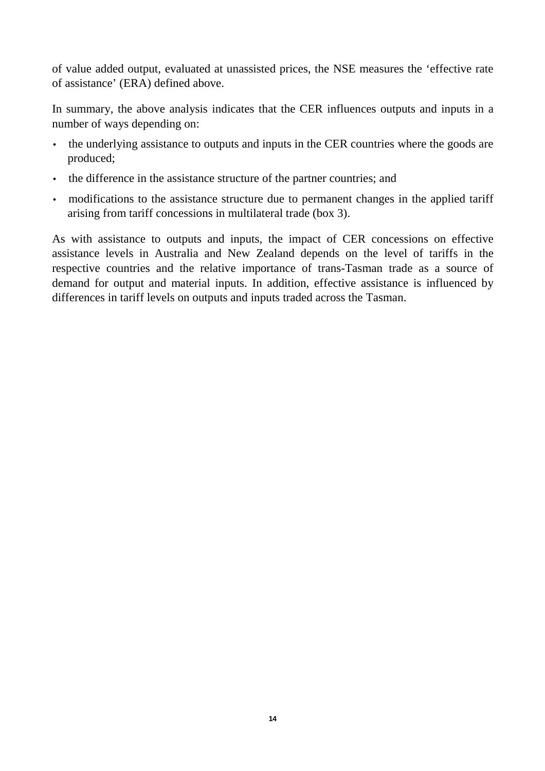of value added output, evaluated at unassisted prices, the NSE measures the 'effective rate of assistance' (ERA) defined above.

In summary, the above analysis indicates that the CER influences outputs and inputs in a number of ways depending on:

- the underlying assistance to outputs and inputs in the CER countries where the goods are produced;
- the difference in the assistance structure of the partner countries; and
- modifications to the assistance structure due to permanent changes in the applied tariff arising from tariff concessions in multilateral trade (box 3).

As with assistance to outputs and inputs, the impact of CER concessions on effective assistance levels in Australia and New Zealand depends on the level of tariffs in the respective countries and the relative importance of trans-Tasman trade as a source of demand for output and material inputs. In addition, effective assistance is influenced by differences in tariff levels on outputs and inputs traded across the Tasman.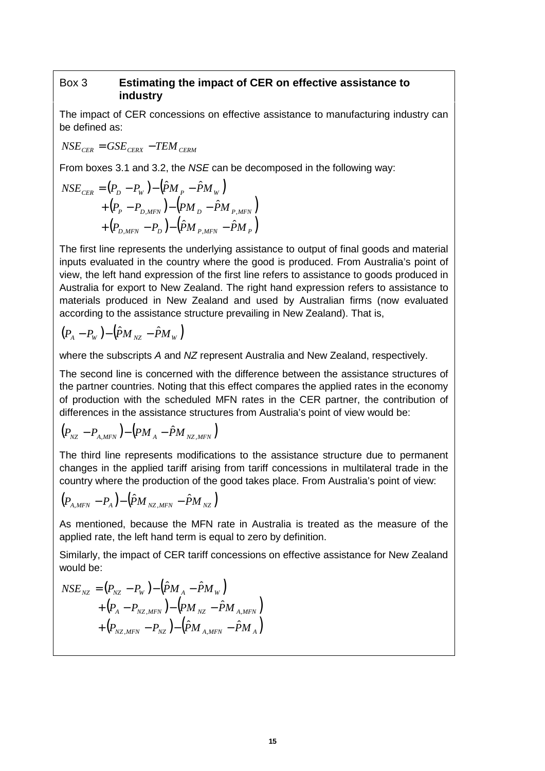#### Box 3 **Estimating the impact of CER on effective assistance to industry**

The impact of CER concessions on effective assistance to manufacturing industry can be defined as:

 $NSE_{CFR} = GSE_{CFRX} - TEM_{CFRM}$ 

From boxes 3.1 and 3.2, the NSE can be decomposed in the following way:

$$
NSE_{CER} = (P_D - P_W) - (\hat{P}M_P - \hat{P}M_W) + (P_P - P_{D,MFN}) - (PM_D - \hat{P}M_{P,MFN}) + (P_{D,MFN} - P_D) - (\hat{P}M_{P,MFN} - \hat{P}M_P)
$$

The first line represents the underlying assistance to output of final goods and material inputs evaluated in the country where the good is produced. From Australia's point of view, the left hand expression of the first line refers to assistance to goods produced in Australia for export to New Zealand. The right hand expression refers to assistance to materials produced in New Zealand and used by Australian firms (now evaluated according to the assistance structure prevailing in New Zealand). That is,

$$
(P_A - P_W) - (\hat{P}M_{NZ} - \hat{P}M_W)
$$

where the subscripts A and NZ represent Australia and New Zealand, respectively.

The second line is concerned with the difference between the assistance structures of the partner countries. Noting that this effect compares the applied rates in the economy of production with the scheduled MFN rates in the CER partner, the contribution of differences in the assistance structures from Australia's point of view would be:

$$
(P_{\scriptscriptstyle{NZ}} - P_{\scriptscriptstyle{A,MFN}}) - (PM_{\scriptscriptstyle{A}} - \hat{P}M_{\scriptscriptstyle{NZ,MFN}})
$$

The third line represents modifications to the assistance structure due to permanent changes in the applied tariff arising from tariff concessions in multilateral trade in the country where the production of the good takes place. From Australia's point of view:

$$
\left(P_{_{A,MFN}}-P_{_{A}}\right)-\left(\hat{P}M_{_{NZ,MFN}}-\hat{P}M_{_{NZ}}\right)
$$

As mentioned, because the MFN rate in Australia is treated as the measure of the applied rate, the left hand term is equal to zero by definition.

Similarly, the impact of CER tariff concessions on effective assistance for New Zealand would be:

$$
NSE_{NZ} = (P_{NZ} - P_W) - (\hat{P}M_A - \hat{P}M_W) + (P_A - P_{NZ,MFN}) - (PM_{NZ} - \hat{P}M_{A,MFN}) + (P_{NZ,MFN} - P_{NZ}) - (\hat{P}M_{A,MFN} - \hat{P}M_A)
$$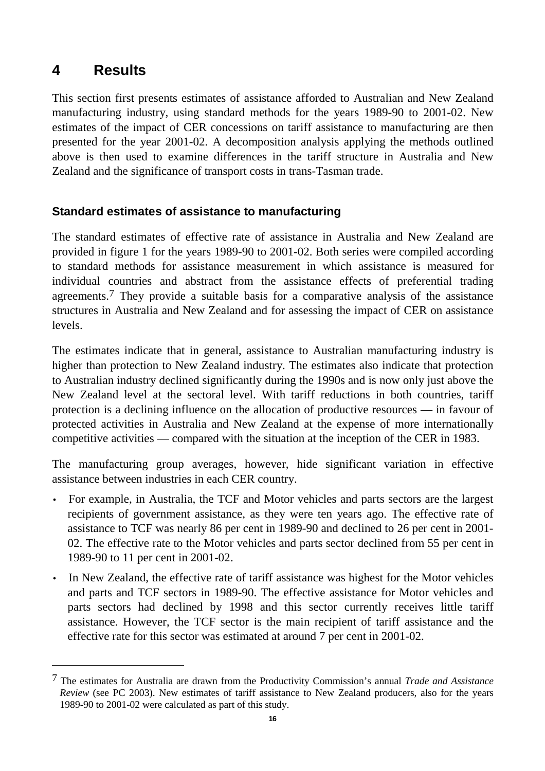#### $\blacktriangle$ **4 Results**

-

This section first presents estimates of assistance afforded to Australian and New Zealand manufacturing industry, using standard methods for the years 1989-90 to 2001-02. New estimates of the impact of CER concessions on tariff assistance to manufacturing are then presented for the year 2001-02. A decomposition analysis applying the methods outlined above is then used to examine differences in the tariff structure in Australia and New Zealand and the significance of transport costs in trans-Tasman trade.

#### **Standard estimates of assistance to manufacturing**

The standard estimates of effective rate of assistance in Australia and New Zealand are provided in figure 1 for the years 1989-90 to 2001-02. Both series were compiled according to standard methods for assistance measurement in which assistance is measured for individual countries and abstract from the assistance effects of preferential trading agreements.7 They provide a suitable basis for a comparative analysis of the assistance structures in Australia and New Zealand and for assessing the impact of CER on assistance levels.

The estimates indicate that in general, assistance to Australian manufacturing industry is higher than protection to New Zealand industry. The estimates also indicate that protection to Australian industry declined significantly during the 1990s and is now only just above the New Zealand level at the sectoral level. With tariff reductions in both countries, tariff protection is a declining influence on the allocation of productive resources — in favour of protected activities in Australia and New Zealand at the expense of more internationally competitive activities — compared with the situation at the inception of the CER in 1983.

The manufacturing group averages, however, hide significant variation in effective assistance between industries in each CER country.

- For example, in Australia, the TCF and Motor vehicles and parts sectors are the largest recipients of government assistance, as they were ten years ago. The effective rate of assistance to TCF was nearly 86 per cent in 1989-90 and declined to 26 per cent in 2001- 02. The effective rate to the Motor vehicles and parts sector declined from 55 per cent in 1989-90 to 11 per cent in 2001-02.
- In New Zealand, the effective rate of tariff assistance was highest for the Motor vehicles and parts and TCF sectors in 1989-90. The effective assistance for Motor vehicles and parts sectors had declined by 1998 and this sector currently receives little tariff assistance. However, the TCF sector is the main recipient of tariff assistance and the effective rate for this sector was estimated at around 7 per cent in 2001-02.

<sup>7</sup> The estimates for Australia are drawn from the Productivity Commission's annual *Trade and Assistance Review* (see PC 2003). New estimates of tariff assistance to New Zealand producers, also for the years 1989-90 to 2001-02 were calculated as part of this study.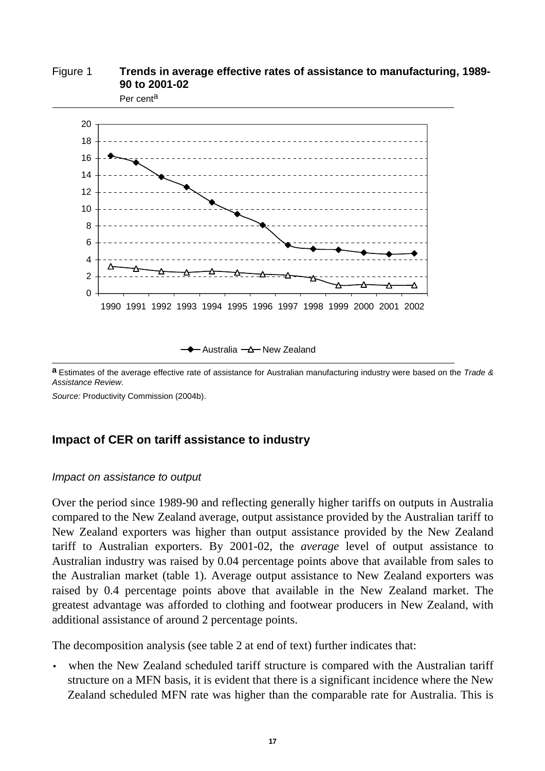

**a** Estimates of the average effective rate of assistance for Australian manufacturing industry were based on the Trade & Assistance Review.

Source: Productivity Commission (2004b).

#### **Impact of CER on tariff assistance to industry**

#### Impact on assistance to output

Over the period since 1989-90 and reflecting generally higher tariffs on outputs in Australia compared to the New Zealand average, output assistance provided by the Australian tariff to New Zealand exporters was higher than output assistance provided by the New Zealand tariff to Australian exporters. By 2001-02, the *average* level of output assistance to Australian industry was raised by 0.04 percentage points above that available from sales to the Australian market (table 1). Average output assistance to New Zealand exporters was raised by 0.4 percentage points above that available in the New Zealand market. The greatest advantage was afforded to clothing and footwear producers in New Zealand, with additional assistance of around 2 percentage points.

The decomposition analysis (see table 2 at end of text) further indicates that:

when the New Zealand scheduled tariff structure is compared with the Australian tariff structure on a MFN basis, it is evident that there is a significant incidence where the New Zealand scheduled MFN rate was higher than the comparable rate for Australia. This is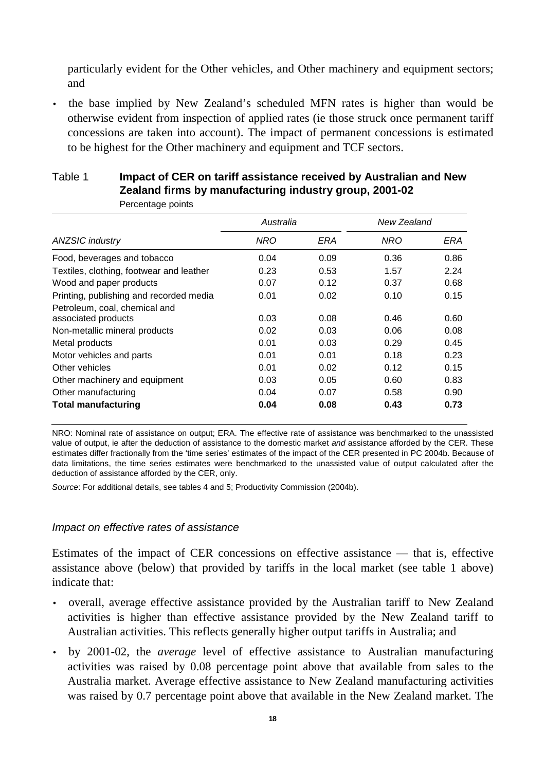particularly evident for the Other vehicles, and Other machinery and equipment sectors; and

• the base implied by New Zealand's scheduled MFN rates is higher than would be otherwise evident from inspection of applied rates (ie those struck once permanent tariff concessions are taken into account). The impact of permanent concessions is estimated to be highest for the Other machinery and equipment and TCF sectors.

| NRO  | ERA  | NRO       | ERA         |
|------|------|-----------|-------------|
| 0.04 | 0.09 | 0.36      | 0.86        |
| 0.23 | 0.53 | 1.57      | 2.24        |
| 0.07 | 0.12 | 0.37      | 0.68        |
| 0.01 | 0.02 | 0.10      | 0.15        |
|      |      |           |             |
| 0.03 | 0.08 | 0.46      | 0.60        |
| 0.02 | 0.03 | 0.06      | 0.08        |
| 0.01 | 0.03 | 0.29      | 0.45        |
| 0.01 | 0.01 | 0.18      | 0.23        |
| 0.01 | 0.02 | 0.12      | 0.15        |
| 0.03 | 0.05 | 0.60      | 0.83        |
| 0.04 | 0.07 | 0.58      | 0.90        |
| 0.04 | 0.08 | 0.43      | 0.73        |
|      |      | Australia | New Zealand |

#### Table 1 **Impact of CER on tariff assistance received by Australian and New Zealand firms by manufacturing industry group, 2001-02**  Percentage points

NRO: Nominal rate of assistance on output; ERA. The effective rate of assistance was benchmarked to the unassisted value of output, ie after the deduction of assistance to the domestic market and assistance afforded by the CER. These estimates differ fractionally from the 'time series' estimates of the impact of the CER presented in PC 2004b. Because of data limitations, the time series estimates were benchmarked to the unassisted value of output calculated after the deduction of assistance afforded by the CER, only.

Source: For additional details, see tables 4 and 5; Productivity Commission (2004b).

#### Impact on effective rates of assistance

Estimates of the impact of CER concessions on effective assistance — that is, effective assistance above (below) that provided by tariffs in the local market (see table 1 above) indicate that:

- overall, average effective assistance provided by the Australian tariff to New Zealand activities is higher than effective assistance provided by the New Zealand tariff to Australian activities. This reflects generally higher output tariffs in Australia; and
- by 2001-02, the *average* level of effective assistance to Australian manufacturing activities was raised by 0.08 percentage point above that available from sales to the Australia market. Average effective assistance to New Zealand manufacturing activities was raised by 0.7 percentage point above that available in the New Zealand market. The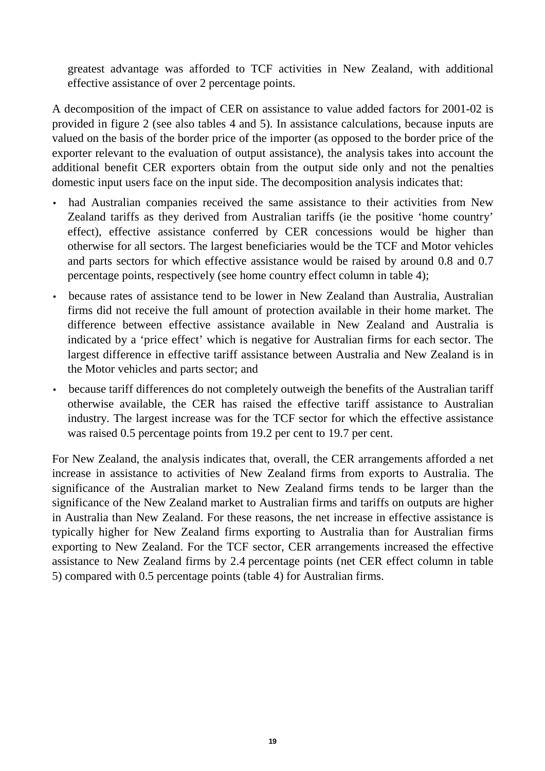greatest advantage was afforded to TCF activities in New Zealand, with additional effective assistance of over 2 percentage points.

A decomposition of the impact of CER on assistance to value added factors for 2001-02 is provided in figure 2 (see also tables 4 and 5). In assistance calculations, because inputs are valued on the basis of the border price of the importer (as opposed to the border price of the exporter relevant to the evaluation of output assistance), the analysis takes into account the additional benefit CER exporters obtain from the output side only and not the penalties domestic input users face on the input side. The decomposition analysis indicates that:

- had Australian companies received the same assistance to their activities from New Zealand tariffs as they derived from Australian tariffs (ie the positive 'home country' effect), effective assistance conferred by CER concessions would be higher than otherwise for all sectors. The largest beneficiaries would be the TCF and Motor vehicles and parts sectors for which effective assistance would be raised by around 0.8 and 0.7 percentage points, respectively (see home country effect column in table 4);
- because rates of assistance tend to be lower in New Zealand than Australia, Australian firms did not receive the full amount of protection available in their home market. The difference between effective assistance available in New Zealand and Australia is indicated by a 'price effect' which is negative for Australian firms for each sector. The largest difference in effective tariff assistance between Australia and New Zealand is in the Motor vehicles and parts sector; and
- because tariff differences do not completely outweigh the benefits of the Australian tariff otherwise available, the CER has raised the effective tariff assistance to Australian industry. The largest increase was for the TCF sector for which the effective assistance was raised 0.5 percentage points from 19.2 per cent to 19.7 per cent.

For New Zealand, the analysis indicates that, overall, the CER arrangements afforded a net increase in assistance to activities of New Zealand firms from exports to Australia. The significance of the Australian market to New Zealand firms tends to be larger than the significance of the New Zealand market to Australian firms and tariffs on outputs are higher in Australia than New Zealand. For these reasons, the net increase in effective assistance is typically higher for New Zealand firms exporting to Australia than for Australian firms exporting to New Zealand. For the TCF sector, CER arrangements increased the effective assistance to New Zealand firms by 2.4 percentage points (net CER effect column in table 5) compared with 0.5 percentage points (table 4) for Australian firms.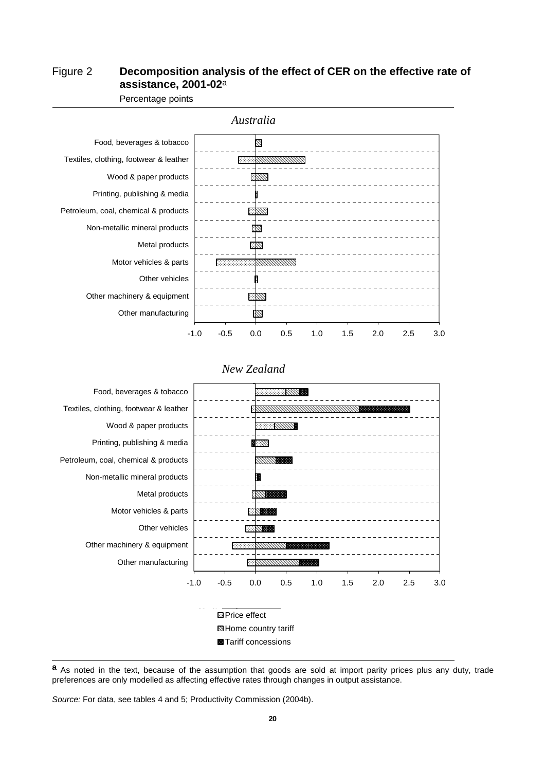#### Figure 2 **Decomposition analysis of the effect of CER on the effective rate of assistance, 2001-02**a



Percentage points



#### *New Zealand*

**a** As noted in the text, because of the assumption that goods are sold at import parity prices plus any duty, trade preferences are only modelled as affecting effective rates through changes in output assistance.

Source: For data, see tables 4 and 5; Productivity Commission (2004b).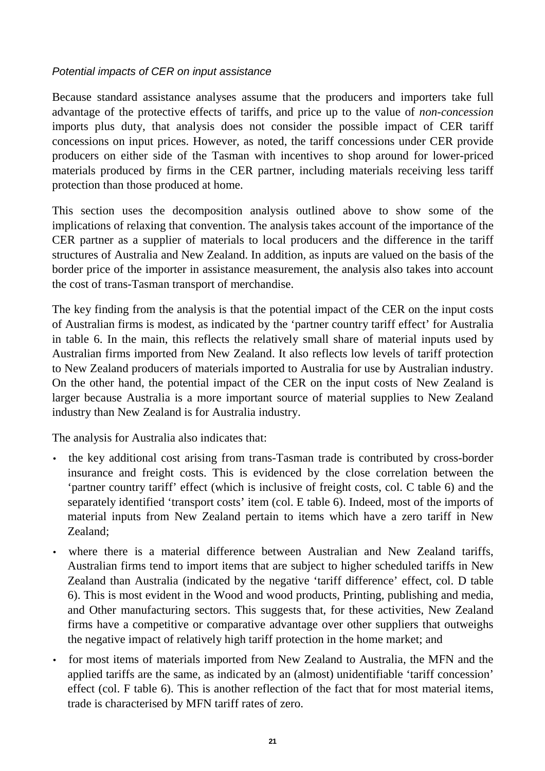#### Potential impacts of CER on input assistance

Because standard assistance analyses assume that the producers and importers take full advantage of the protective effects of tariffs, and price up to the value of *non-concession* imports plus duty, that analysis does not consider the possible impact of CER tariff concessions on input prices. However, as noted, the tariff concessions under CER provide producers on either side of the Tasman with incentives to shop around for lower-priced materials produced by firms in the CER partner, including materials receiving less tariff protection than those produced at home.

This section uses the decomposition analysis outlined above to show some of the implications of relaxing that convention. The analysis takes account of the importance of the CER partner as a supplier of materials to local producers and the difference in the tariff structures of Australia and New Zealand. In addition, as inputs are valued on the basis of the border price of the importer in assistance measurement, the analysis also takes into account the cost of trans-Tasman transport of merchandise.

The key finding from the analysis is that the potential impact of the CER on the input costs of Australian firms is modest, as indicated by the 'partner country tariff effect' for Australia in table 6. In the main, this reflects the relatively small share of material inputs used by Australian firms imported from New Zealand. It also reflects low levels of tariff protection to New Zealand producers of materials imported to Australia for use by Australian industry. On the other hand, the potential impact of the CER on the input costs of New Zealand is larger because Australia is a more important source of material supplies to New Zealand industry than New Zealand is for Australia industry.

The analysis for Australia also indicates that:

- the key additional cost arising from trans-Tasman trade is contributed by cross-border insurance and freight costs. This is evidenced by the close correlation between the 'partner country tariff' effect (which is inclusive of freight costs, col. C table 6) and the separately identified 'transport costs' item (col. E table 6). Indeed, most of the imports of material inputs from New Zealand pertain to items which have a zero tariff in New Zealand;
- where there is a material difference between Australian and New Zealand tariffs, Australian firms tend to import items that are subject to higher scheduled tariffs in New Zealand than Australia (indicated by the negative 'tariff difference' effect, col. D table 6). This is most evident in the Wood and wood products, Printing, publishing and media, and Other manufacturing sectors. This suggests that, for these activities, New Zealand firms have a competitive or comparative advantage over other suppliers that outweighs the negative impact of relatively high tariff protection in the home market; and
- for most items of materials imported from New Zealand to Australia, the MFN and the applied tariffs are the same, as indicated by an (almost) unidentifiable 'tariff concession' effect (col. F table 6). This is another reflection of the fact that for most material items, trade is characterised by MFN tariff rates of zero.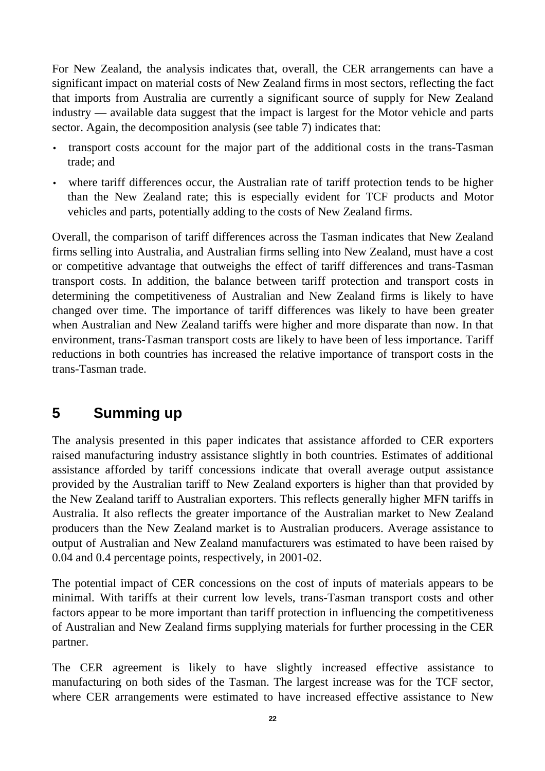$\overline{a}$ For New Zealand, the analysis indicates that, overall, the CER arrangements can have a significant impact on material costs of New Zealand firms in most sectors, reflecting the fact that imports from Australia are currently a significant source of supply for New Zealand industry — available data suggest that the impact is largest for the Motor vehicle and parts sector. Again, the decomposition analysis (see table 7) indicates that:

- transport costs account for the major part of the additional costs in the trans-Tasman trade; and
- where tariff differences occur, the Australian rate of tariff protection tends to be higher than the New Zealand rate; this is especially evident for TCF products and Motor vehicles and parts, potentially adding to the costs of New Zealand firms.

Overall, the comparison of tariff differences across the Tasman indicates that New Zealand firms selling into Australia, and Australian firms selling into New Zealand, must have a cost or competitive advantage that outweighs the effect of tariff differences and trans-Tasman transport costs. In addition, the balance between tariff protection and transport costs in determining the competitiveness of Australian and New Zealand firms is likely to have changed over time. The importance of tariff differences was likely to have been greater when Australian and New Zealand tariffs were higher and more disparate than now. In that environment, trans-Tasman transport costs are likely to have been of less importance. Tariff reductions in both countries has increased the relative importance of transport costs in the trans-Tasman trade.

## **5 Summing up**

The analysis presented in this paper indicates that assistance afforded to CER exporters raised manufacturing industry assistance slightly in both countries. Estimates of additional assistance afforded by tariff concessions indicate that overall average output assistance provided by the Australian tariff to New Zealand exporters is higher than that provided by the New Zealand tariff to Australian exporters. This reflects generally higher MFN tariffs in Australia. It also reflects the greater importance of the Australian market to New Zealand producers than the New Zealand market is to Australian producers. Average assistance to output of Australian and New Zealand manufacturers was estimated to have been raised by 0.04 and 0.4 percentage points, respectively, in 2001-02.

The potential impact of CER concessions on the cost of inputs of materials appears to be minimal. With tariffs at their current low levels, trans-Tasman transport costs and other factors appear to be more important than tariff protection in influencing the competitiveness of Australian and New Zealand firms supplying materials for further processing in the CER partner.

The CER agreement is likely to have slightly increased effective assistance to manufacturing on both sides of the Tasman. The largest increase was for the TCF sector, where CER arrangements were estimated to have increased effective assistance to New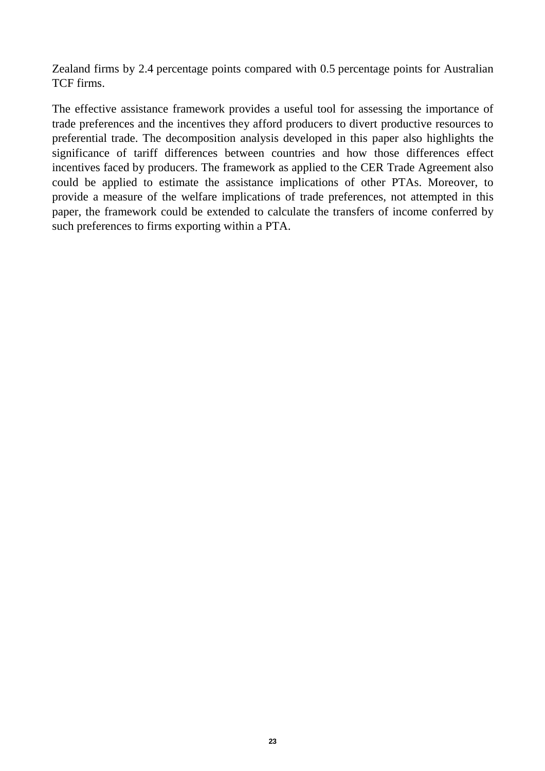$\overline{a}$ Zealand firms by 2.4 percentage points compared with 0.5 percentage points for Australian TCF firms.

The effective assistance framework provides a useful tool for assessing the importance of trade preferences and the incentives they afford producers to divert productive resources to preferential trade. The decomposition analysis developed in this paper also highlights the significance of tariff differences between countries and how those differences effect incentives faced by producers. The framework as applied to the CER Trade Agreement also could be applied to estimate the assistance implications of other PTAs. Moreover, to provide a measure of the welfare implications of trade preferences, not attempted in this paper, the framework could be extended to calculate the transfers of income conferred by such preferences to firms exporting within a PTA.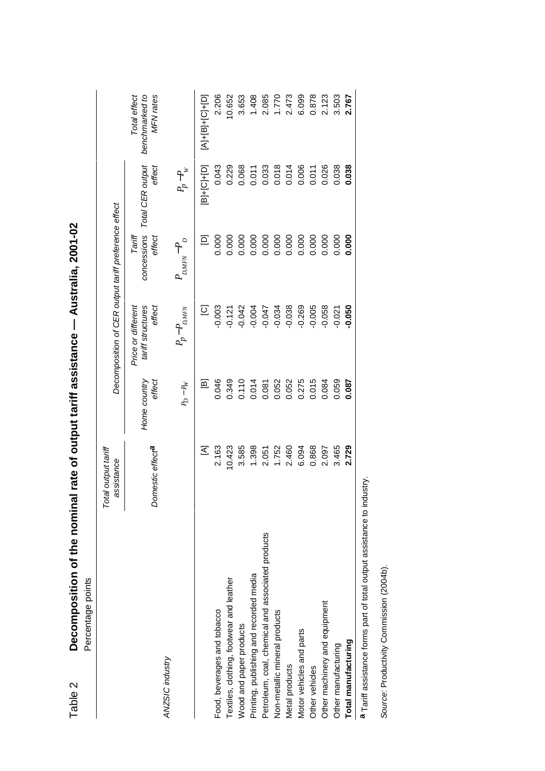| Percentage points                                                      |                                   |                        |                                                      |                                 |                               |                                             |
|------------------------------------------------------------------------|-----------------------------------|------------------------|------------------------------------------------------|---------------------------------|-------------------------------|---------------------------------------------|
|                                                                        | Total output tariff<br>assistance |                        | Decomposition of CER output tariff preference effect |                                 |                               |                                             |
|                                                                        | Domestic effect <sup>a</sup>      | Home country<br>effect | tariff structures<br>effect<br>Price or different    | concessions<br>Tariff<br>effect | Total CER output<br>effect    | Total effect<br>benchmarked to<br>MFN rates |
| ANZSIC industry                                                        |                                   | $P_D - R_V$            | $P_p-P_{D,MFN}$                                      | $P_{_{DMFN}}-P_{_{D}}$          | $P_p-P_w$                     |                                             |
|                                                                        | Σ                                 | 囸                      | $\overline{\Omega}$                                  | $\Xi$                           | $[B]+[C]+[D]$                 | $[A]+[C]+[E]+[C]$                           |
| Food, beverages and tobacco                                            | 2.163                             | 0.046                  | $-0.003$                                             | 0.000                           | 0.043                         | 2.206                                       |
| Textiles, clothing, footwear and leather                               | 10.423                            | 0.349                  | $-0.121$                                             | 0.000                           | 0.229                         | 10.652                                      |
| Wood and paper products                                                | 3.585                             | 0.110                  | $-0.042$                                             | 0.000                           | 0.068                         | 3.653                                       |
| Printing, publishing and recorded media                                | 1.398                             | 0.014                  | $-0.004$                                             | 0.000                           |                               | 1.408                                       |
| Petroleum, coal, chemical and associated products                      | 2.051                             | 0.081                  | $-0.047$                                             |                                 | $0.011$<br>$0.033$<br>$0.014$ | 2.085                                       |
| Non-metallic mineral products                                          | 1.752                             | 0.052                  | $-0.034$                                             | $0.000$<br>$0.000$              |                               | 1.770                                       |
| Metal products                                                         | 2.460                             | 0.052                  | $-0.038$                                             |                                 |                               | 2.473                                       |
| Motor vehicles and parts                                               | 6.094                             | 0.275                  | $-0.269$                                             | 0.000                           | 0.006                         | 6.099                                       |
| Other vehicles                                                         | 0.868                             | 0.015                  | $-0.005$                                             | 0.000                           | 0.011                         | 0.878                                       |
| Other machinery and equipment                                          | 2.097                             | 0.084                  | 0.058                                                | 0.000                           | 0.026                         | 2.123                                       |
| Other manufacturing                                                    | 3.465                             | 0.059                  | 0.021                                                | 0.000                           | 0.038                         | 3.503                                       |
| Total manufacturing                                                    | 2.729                             | 0.087                  | 0.050                                                | 0.000                           | 0.038                         | 2.767                                       |
| a Tariff assistance forms part of total output assistance to industry. |                                   |                        |                                                      |                                 |                               |                                             |

Decomposition of the nominal rate of output tariff assistance - Australia, 2001-02 Table 2 **Decomposition of the nominal rate of output tariff assistance — Australia, 2001-02**  Table 2

Source: Productivity Commission (2004b). Source: Productivity Commission (2004b).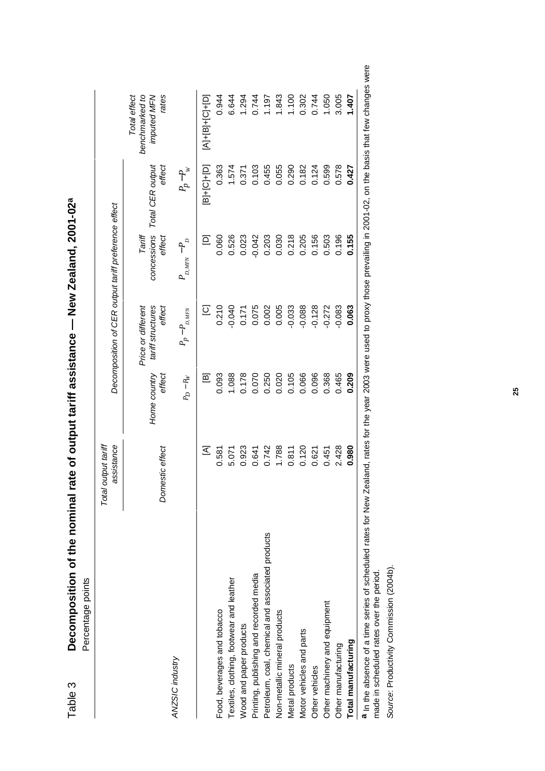|                                                   | Total output tariff<br>assistance |                        | Decomposition of CER output tariff preference effect |                                 |                            |                                                        |
|---------------------------------------------------|-----------------------------------|------------------------|------------------------------------------------------|---------------------------------|----------------------------|--------------------------------------------------------|
|                                                   | Domestic effect                   | effect<br>Home country | tariff structures<br>effect<br>Price or different    | concessions<br>effect<br>Tariff | effect<br>Total CER output | Total effect<br>benchmarked to<br>rates<br>imputed MFN |
| ANZSIC industry                                   |                                   | $P_D - R_V$            | $P_p - P_{_{D,MFN}}$                                 | $P_{_{D,MFN}}-P_{_{D}}$         | $P_p-P_w$                  |                                                        |
|                                                   | ⊻                                 | 回                      | $\overline{\omega}$                                  | Ξ                               | $[B]+[C]+[D]$              | $[A]+[B]+[C]+[D]$                                      |
| Food, beverages and tobacco                       | 0.581                             | 0.093                  | 0.210                                                | 0.060                           | 0.363                      | 0.944                                                  |
| Textiles, clothing, footwear and leather          | 5.071                             | 1.088                  | $-0.040$                                             | 0.526                           | 1.574                      | 6.644                                                  |
| Wood and paper products                           | 0.923                             | 0.178                  | 0.171                                                | 0.023                           | 0.371                      | 1.294                                                  |
| Printing, publishing and recorded media           | 0.641                             | 0.070                  | 0.075                                                | $-0.042$                        | 0.103                      | 0.744                                                  |
| Petroleum, coal, chemical and associated products | 0.742                             | 0.250                  | 0.002                                                | 0.203                           | 0.455                      | 1.197                                                  |
| Non-metallic mineral products                     | 1.788                             | 0.020                  | 0.005                                                | 0.030                           | 0.055                      | 1.843                                                  |
| Metal products                                    | 0.811                             | 0.105                  | $-0.033$                                             | 0.218                           | 0.290                      | 1.100                                                  |
| Motor vehicles and parts                          | 0.120                             | 0.066                  | $-0.088$                                             | 0.205                           | 0.182                      | 0.302                                                  |
| Other vehicles                                    | 0.621                             | 0.096                  | $-0.128$                                             | 0.156                           | 0.124                      | 0.744                                                  |
| Other machinery and equipment                     | 0.451                             | 0.368                  | $-0.272$                                             | 0.503                           | 0.599                      | 1.050                                                  |
| Other manufacturing                               | 2.428                             | 0.465                  | $-0.083$                                             | 0.196                           | 0.578                      | 3.005                                                  |
| Total manufacturing                               | 0.980                             | 0.209                  | 0.063                                                | 0.155                           | 0.427                      | 1.407                                                  |

Decomposition of the nominal rate of output tariff assistance - New Zealand, 2001-02<sup>a</sup> Table 3 **Decomposition of the nominal rate of output tariff assistance — New Zealand, 2001-02a** Table 3 vere made in scheduled rates over the period. made in scheduled rates over the period.

Source: Productivity Commission (2004b). Source: Productivity Commission (2004b).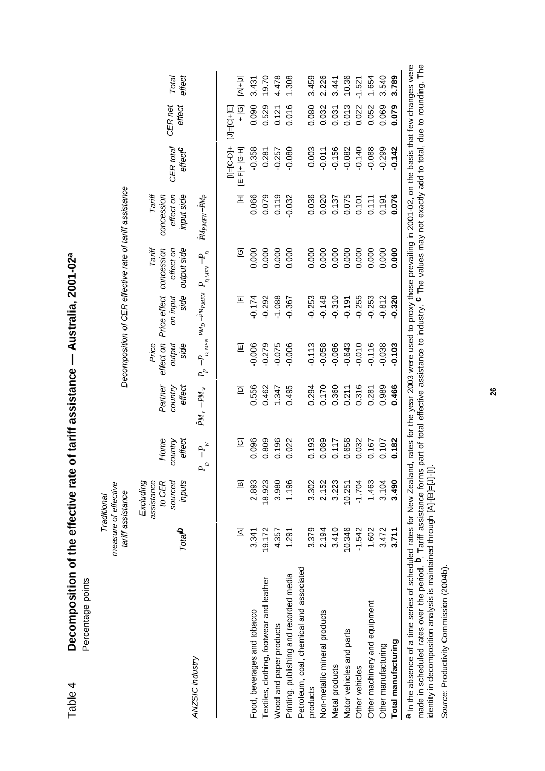| Table 4                       | Decomposition of the effective rate of tariff assistance - Australia, 2001-02ª<br>Percentage points |                    |                                                          |                                                       |                                                                                 |                                                                               |                                  |                                                                       |                                                                                        |                                    |                                    |                 |
|-------------------------------|-----------------------------------------------------------------------------------------------------|--------------------|----------------------------------------------------------|-------------------------------------------------------|---------------------------------------------------------------------------------|-------------------------------------------------------------------------------|----------------------------------|-----------------------------------------------------------------------|----------------------------------------------------------------------------------------|------------------------------------|------------------------------------|-----------------|
|                               |                                                                                                     |                    | measure of effective<br>tariff assistance<br>Traditional |                                                       |                                                                                 |                                                                               |                                  |                                                                       | Decomposition of CER effective rate of tariff assistance                               |                                    |                                    |                 |
| ANZSIC industry               |                                                                                                     | Total <sup>o</sup> | sourced<br>assistance<br>to CER<br>inputs<br>Excluding   | Home<br>effect<br>country<br>$-P_{\mu}$<br>$P_{\rho}$ | Partner<br>effect<br>country<br>$\hat{P} \boldsymbol{M}_P - P \boldsymbol{M}_W$ | $P_p - P_{D,MFN} P M_D - P M_{P,MFN}$<br>effect on<br>output<br>side<br>Price | Price effect<br>side<br>on input | Tariff<br>concession<br>output side<br>effect on<br>$P_{D,MFN} - P_D$ | Tariff<br>input side<br>PM <sub>PMFN</sub> -PM <sub>P</sub><br>concession<br>effect on | CER total<br>$effect$ <sup>C</sup> | CER <sub>net</sub><br>effect       | effect<br>Total |
|                               |                                                                                                     | Σ                  | 回                                                        | $\overline{2}$                                        | Ξ                                                                               | 回                                                                             | $\mathbb E$                      | ලු                                                                    | Ξ                                                                                      | tig-ol=lil<br>IE-FJ+ [G-H]         | <u>ල</u><br>+<br>$[J] = [C] + [E]$ | $[A+1]$         |
| Food, beverages and tobacco   |                                                                                                     | 3.341              | 2.893                                                    | 0.096                                                 | 0.556                                                                           | $-0.006$                                                                      | $-0.174$                         | 0.000                                                                 | 0.066                                                                                  | $-0.358$                           | 0.090                              | 3.431           |
|                               | Textiles, clothing, footwear and leather                                                            | 19.172             | 18.923                                                   | 0.809                                                 | 0.462                                                                           | $-0.279$                                                                      | $-0.292$                         | 0.000                                                                 | 0.079                                                                                  | 0.281                              | 0.529                              | 19.70           |
| Wood and paper products       |                                                                                                     | 4.357              | 3.980                                                    | 0.196                                                 | 1.347                                                                           | $-0.075$                                                                      | $-1.088$                         | 0.000                                                                 | 0.119                                                                                  | $-0.257$                           | 0.121                              | 4.478           |
|                               | Printing, publishing and recorded media                                                             | 1.291              | 1.196                                                    | 0.022                                                 | 0.495                                                                           | $-0.006$                                                                      | $-0.367$                         | 0.000                                                                 | $-0.032$                                                                               | $-0.080$                           | 0.016                              | 1.308           |
|                               | Petroleum, coal, chemical and associated                                                            |                    |                                                          |                                                       |                                                                                 |                                                                               |                                  |                                                                       |                                                                                        |                                    |                                    |                 |
| products                      |                                                                                                     | 3.379              | 3.302                                                    | 0.193                                                 | 0.294                                                                           | $-0.113$                                                                      | $-0.253$                         | 0.000                                                                 | 0.036                                                                                  | 0.003                              | 0.080                              | 3.459           |
| Non-metallic mineral products |                                                                                                     | 2.194              | 2.152                                                    | 0.089                                                 | 0.170                                                                           | $-0.058$                                                                      | $-0.148$                         | 0.000                                                                 | 0.020                                                                                  | $-0.011$                           | 0.032                              | 2.226           |
| Metal products                |                                                                                                     | 3.410              | 3.223                                                    | 0.117                                                 | 0.360                                                                           | $-0.086$                                                                      | $-0.310$                         | 0.000                                                                 | 0.137                                                                                  | $-0.156$                           | 0.031                              | 3.441           |
| Motor vehicles and parts      |                                                                                                     | 10.346             | 10.251                                                   | 0.656                                                 | 0.211                                                                           | $-0.643$                                                                      | $-0.191$                         | 0.000                                                                 | 0.075                                                                                  | $-0.082$                           | 0.013                              | 10.36           |
| Other vehicles                |                                                                                                     | $-1.542$           | $-1.704$                                                 | 0.032                                                 | 0.316                                                                           | $-0.010$                                                                      | $-0.255$                         | 0.000                                                                 | 0.101                                                                                  | $-0.140$                           | 0.022                              | $-1.521$        |
| Other machinery and equipment |                                                                                                     | 1.602              | 1.463                                                    | 0.167                                                 | 0.281                                                                           | $-0.116$                                                                      | $-0.253$                         | 0.000                                                                 | 0.111                                                                                  | $-0.088$                           | 0.052                              | 1.654           |
| Other manufacturing           |                                                                                                     | 3.472              | 3.104                                                    | 0.107                                                 | 0.989                                                                           | $-0.038$                                                                      | $-0.812$                         | 0.000                                                                 | 0.191                                                                                  | $-0.299$                           | 0.069                              | 3.540           |
| Total manufacturing           |                                                                                                     | 3.711              | 3.490                                                    | 0.182                                                 | 0.466                                                                           | $-0.103$                                                                      | $-0.320$                         | 0.000                                                                 | 0.076                                                                                  | $-0.142$                           | 0.079                              | 3.789           |
|                               |                                                                                                     |                    |                                                          |                                                       |                                                                                 |                                                                               |                                  |                                                                       |                                                                                        |                                    |                                    |                 |

made in scheduled rates over the period. <sup>**D**. Tariff assistance forms part of total effective assistance to industry. <sup>C</sup> The values may not exactly add to total, due to rounding. The<br>identity in decomposition analysis i</sup> made in scheduled rates over the period. **b**. Tariff assistance forms part of total effective assistance to industry. **c** The values may not exactly add to total, due to rounding. The identity in decomposition analysis is maintained through [A]-[B]=[J]-[I].

Source: Productivity Commission (2004b). Source: Productivity Commission (2004b).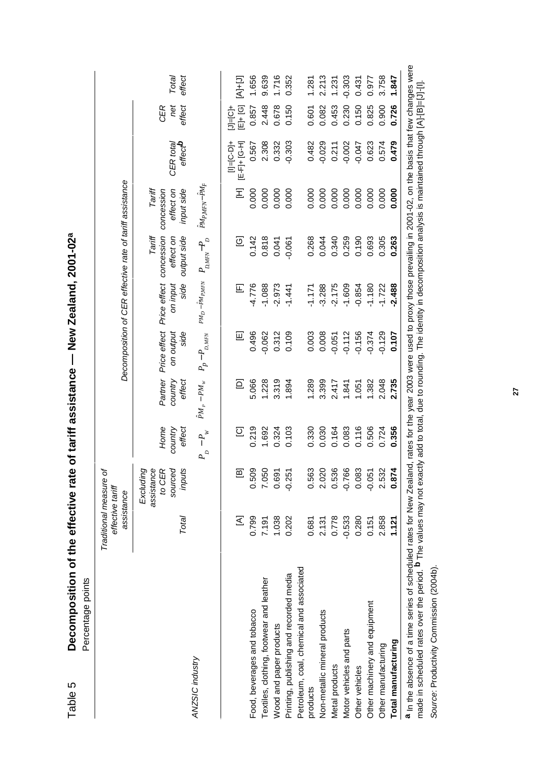| Table 5                       | Decomposition of the effective rate<br>Percentage points            |          |                                                          |                           | of tariff assistance -                                       |                                   | New Zealand, 2001-02 <sup>a</sup> |                                                  |                                                                                                                |                                  |                        |                 |
|-------------------------------|---------------------------------------------------------------------|----------|----------------------------------------------------------|---------------------------|--------------------------------------------------------------|-----------------------------------|-----------------------------------|--------------------------------------------------|----------------------------------------------------------------------------------------------------------------|----------------------------------|------------------------|-----------------|
|                               |                                                                     |          | Traditional measure or<br>effective tariff<br>assistance |                           |                                                              |                                   |                                   |                                                  | Decomposition of CER effective rate of tariff assistance                                                       |                                  |                        |                 |
|                               |                                                                     | Total    | to CER<br>sourced<br>assistance<br>inputs<br>Excluding   | Home<br>country<br>effect | Partner<br>country<br>effect                                 | Price effect<br>on output<br>side | Price effect<br>side<br>on input  | Tariff<br>output side<br>concession<br>effect on | effect on<br>Tariff<br>input side<br>concession                                                                | effecto<br>CER tota              | CER<br>net<br>effect   | effect<br>Total |
| ANZSIC industry               |                                                                     |          |                                                          | $-P_w$<br>$P_{\rho}$      | $\hat{P} \boldsymbol{M}_P - \boldsymbol{P} \boldsymbol{M}_w$ | $P_p - P_{_{D,MFN}}$              | $PM_D-\tilde PM_{P,MFN}$          | $P_{_{\mathit{DMFN}}\rightarrow P_{_{D}}}$       | $PM_{PMFN}$ -PM <sub>F</sub>                                                                                   |                                  |                        |                 |
|                               |                                                                     | $\Xi$    | 回                                                        | $\overline{\Omega}$       | Ξ                                                            | 囸                                 | $\mathbb E$                       | ତ୍ର                                              | Ξ                                                                                                              | tig-ol=lil<br>H-5-H-1<br>H-5-H-1 | Ej+[G]<br>toler<br>Die | $[4 + 1]$       |
| Food, beverages and tobacco   |                                                                     | 0.799    | 0.509                                                    | 0.219                     | 5.066                                                        | 0.496                             | $-4.776$                          | 0.142                                            | 0.000                                                                                                          | 0.567                            | 0.857                  | 1.656           |
|                               | Textiles, clothing, footwear and leather                            | 7.191    | 7.050                                                    | 1.692                     | 1.228                                                        | $-0.062$                          | $-1.088$                          | 0.818                                            | 0.000                                                                                                          | 2.308                            | 2.448                  | 9.639           |
| Wood and paper products       |                                                                     | 1.038    | 0.691                                                    | 0.324                     | 3.319                                                        | 0.312                             | $-2.973$                          | 0.041                                            | 0.000                                                                                                          | 0.332                            | 0.678                  | 1.716           |
|                               | Printing, publishing and recorded media                             | 0.202    | $-0.251$                                                 | 0.103                     | 1.894                                                        | 0.109                             | $-1.441$                          | $-0.061$                                         | 0.000                                                                                                          | $-0.303$                         | 0.150                  | 0.352           |
|                               | Petroleum, coal, chemical and associated                            |          |                                                          |                           |                                                              |                                   |                                   |                                                  |                                                                                                                |                                  |                        |                 |
| products                      |                                                                     | 0.681    | 0.563                                                    | 0.330                     | 1.289                                                        | 0.003                             | $-1.171$                          | 0.268                                            | 0.000                                                                                                          | 0.482                            | 0.601                  | 1.281           |
| Non-metallic mineral products |                                                                     | 2.131    | 2.020                                                    | 0.030                     | 3.399                                                        | 0.008                             | $-3.288$                          | 0.044                                            | 0.000                                                                                                          | $-0.029$                         | 0.082                  | 2.213           |
| Metal products                |                                                                     | 0.778    | 0.536                                                    | 0.164                     | 2.417                                                        | $-0.051$                          | $-2.175$                          | 0.340                                            | 0.000                                                                                                          | 0.211                            | 0.453                  | 1.231           |
| Motor vehicles and parts      |                                                                     | $-0.533$ | $-0.766$                                                 | 0.083                     | .841                                                         | $-0.112$                          | $-1.609$                          | 0.259                                            | 0.000                                                                                                          | $-0.002$                         | 0.230                  | $-0.303$        |
| Other vehicles                |                                                                     | 0.280    | 0.083                                                    | 0.116                     | 1.051                                                        | $-0.156$                          | $-0.854$                          | 0.190                                            | 0.000                                                                                                          | $-0.047$                         | 0.150                  | 0.431           |
| Other machinery and equipment |                                                                     | 0.151    | $-0.051$                                                 | 0.506                     | 1.382                                                        | $-0.374$                          | $-1.180$                          | 0.693                                            | 0.000                                                                                                          | 0.623                            | 0.825                  | 0.977           |
| Other manufacturing           |                                                                     | 2.858    | 2.532                                                    | 0.724                     | 2.048                                                        | $-0.129$                          | $-1.722$                          | 0.305                                            | 0.000                                                                                                          | 0.574                            | 0.900                  | 3.758           |
| Total manufacturing           |                                                                     | 1.121    | 0.874                                                    | 0.356                     | 2.735                                                        | 0.107                             | $-2.488$                          | 0.263                                            | 0.000                                                                                                          | 0.479                            | 0.726                  | 1.847           |
|                               | a In the absence of a time series of scheduled rates for New Zealar |          |                                                          |                           |                                                              |                                   |                                   |                                                  | nd, rates for the year 2003 were used to proxy those prevailing in 2001-02, on the basis that few changes were |                                  | <b>TATION</b> COLLEANS |                 |

made in scheduled rates over the period. P The values may not exactly add to to to total, due to rounding, The identity in decomposition analysis is maintained through [A]-[B]=[J]-[[]. made in scheduled rates over the period. <sup>**b** The values may not exactly add to total, due to rounding. The identity in decomposition analysis is maintained through [A]-[J]-[J]-[I].</sup>

Source: Productivity Commission (2004b). Source: Productivity Commission (2004b).

**27**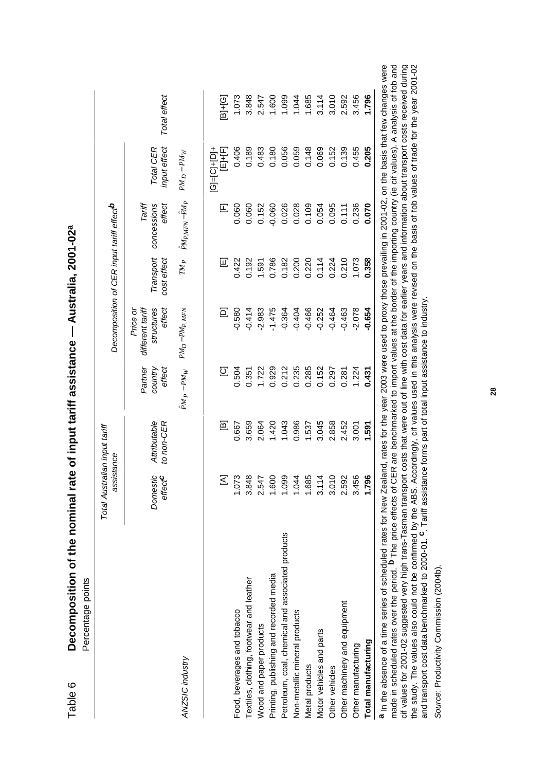|                                                   | Total Australian input tariff<br>assistance |                            |                              |                                                      |                          | Decomposition of CER input tariff effect <sup>b</sup> |                           |              |
|---------------------------------------------------|---------------------------------------------|----------------------------|------------------------------|------------------------------------------------------|--------------------------|-------------------------------------------------------|---------------------------|--------------|
|                                                   | Domestic<br>effect <sup>C</sup>             | Attributable<br>to non-CER | effect<br>Partner<br>country | structures<br>different tariff<br>effect<br>Price or | Transport<br>cost effect | Tariff<br>concessions<br>effect                       | Total CER<br>input effect | Total effect |
| ANZSIC industry                                   |                                             |                            | $\hat{P} M_P - P M_W$        | $PM_D-PMP, MFN$                                      | $\mathbb{T}M_P$          | PMP <sub>MFN</sub> -PM <sub>P</sub>                   | $PM_D - PM_W$             |              |
|                                                   | $\leq$                                      | ഇ                          | $\overline{\circ}$           | $\Xi$                                                | 囸                        | $\mathbb E$                                           | $[G]= [C]+ [D]+$<br>写声    | $B + [G]$    |
| Food, beverages and tobacco                       | 1.073                                       | 0.667                      | 0.504                        | $-0.580$                                             | 0.422                    | 0.060                                                 | 0.406                     | 1.073        |
| Textiles, clothing, footwear and leather          | 3.848                                       | 3.659                      | 0.351                        | $-0.414$                                             | 0.192                    | 0.060                                                 | 0.189                     | 3.848        |
| Wood and paper products                           | 2.547                                       | 2.064                      | 1.722                        | $-2.983$                                             | 1.591                    | 0.152                                                 | 0.483                     | 2.547        |
| Printing, publishing and recorded media           | 1.600                                       | 1.420                      | 0.929                        | $-1.475$                                             | 0.786                    | $-0.060$                                              | 0.180                     | 1.600        |
| Petroleum, coal, chemical and associated products | <b>990</b><br>$\frac{1}{2}$                 | 1.043                      | 0.212                        | $-0.364$                                             | 0.182                    | 0.026                                                 | 0.056                     | 1.099        |
| Non-metallic mineral products                     | 1.044                                       | 0.986                      | 0.235                        | $-0.404$                                             | 0.200                    | 0.028                                                 | 0.059                     | 1.044        |
| Metal products                                    | 1.685                                       | 1.537                      | 0.285                        | $-0.466$                                             | 0.220                    | 0.109                                                 | 0.148                     | 1.685        |
| Motor vehicles and parts                          | $\frac{4}{1}$<br><u>ვ</u>                   | 3.045                      | 0.152                        | $-0.252$                                             | 0.114                    | 0.054                                                 | 0.069                     | 3.114        |
| Other vehicles                                    | 010<br>္က                                   | 2.858                      | 0.297                        | $-0.464$                                             | 0.224                    | 0.095                                                 | 0.152                     | 3.010        |
| Other machinery and equipment                     | 2.592                                       | 2.452                      | 0.281                        | $-0.463$                                             | 0.210                    | 0.111                                                 | 0.139                     | 2.592        |
| Other manufacturing                               | 456<br>$\frac{2}{3}$                        | 3.001                      | 1.224                        | $-2.078$                                             | 1.073                    | 0.236                                                 | 0.455                     | 3.456        |
| Total manufacturing                               | 796                                         | 1.591                      | 0.431                        | $-0.654$                                             | 0.358                    | 0.070                                                 | 0.205                     | 1.796        |

Decomposition of the nominal rate of input tariff assistance - Australia, 2001-02<sup>a</sup> Table 6 **Decomposition of the nominal rate of input tariff assistance — Australia, 2001-02a** Table 6

made in scheduled rates over the period. <sup>**b** The price effects of CER are benchmarked to import values at the border of the importing country (ie cif values). A analysis of fob and<br>cif values for 2001-02 suggested very hi</sup> **a** In the absence of a time series of scheduled rates for New Zealand, rates for the year 2003 were used to proxy those prevailing in 2001-02, on the basis that few changes were ere made in scheduled rates over the period. **b** The price effects of CER are benchmarked to import values at the border of the importing country (ie cif values). A analysis of fob and cif values for 2001-02 suggested very high trans-Tasman transport costs that were out of line with cost data for earlier years and information about transport costs received during the study. The values also could not be confirmed by the ABS. Accordingly, cif values used in this analysis were revised on the basis of fob values of trade for the year 2001-02 and transport cost data benchmarked to 2000-01. **c**. Tariff assistance forms part of total input assistance to industry.

Source: Productivity Commission (2004b). Source: Productivity Commission (2004b). **28**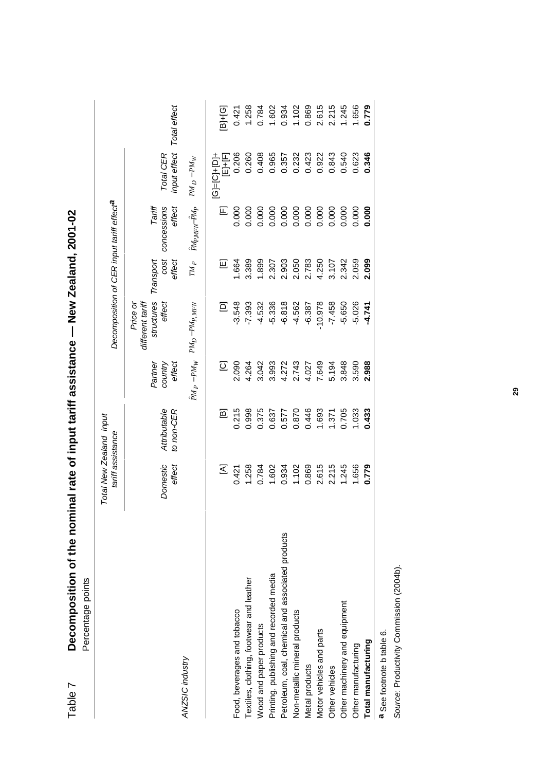| Percentage points                                 |                   |                         |                     |                                                      |                   |                                                       |                                   |              |
|---------------------------------------------------|-------------------|-------------------------|---------------------|------------------------------------------------------|-------------------|-------------------------------------------------------|-----------------------------------|--------------|
|                                                   | tariff assistance | Total New Zealand input |                     |                                                      |                   | Decomposition of CER input tariff effect <sup>a</sup> |                                   |              |
|                                                   | Domestic          | Attributable            | country<br>Partner  | structures<br>different tariff<br>effect<br>Price or | cost<br>Transport | Tariff<br>concessions                                 | Total CER                         |              |
| ANZSIC industry                                   | effect            | to non-CER              | effect              |                                                      | effect            | effect                                                | input effect                      | Total effect |
|                                                   |                   |                         | $\hat{P}M_P - PM_W$ | $PMD-PMP, MFN$                                       | $TM_P$            | PMPMFN-PMP                                            | $PMD - PMW$                       |              |
|                                                   | Σ                 | ഇ                       | $\overline{\omega}$ | $\Xi$                                                | 回                 | $\mathbb E$                                           | $ G $ = $ C $ + $ D $ +<br>E1+IF] | B]+[G]       |
| Food, beverages and tobacco                       | 0.421             | 0.215                   | 2.090               | $-3.548$                                             | 1.664             | 0.000                                                 | 0.206                             | 0.421        |
| Textiles, clothing, footwear and leather          | 1.258             | 0.998                   | 4.264               | $-7.393$                                             | 3.389             | 0.000                                                 | 0.260                             | 1.258        |
| Wood and paper products                           | 0.784             | 0.375                   | 3.042               | $-4.532$                                             | 1.899             | 0.000                                                 | 0.408                             | 0.784        |
| Printing, publishing and recorded media           | 1.602             | 0.637                   | 3.993               | $-5.336$                                             | 2.307             | 0.000                                                 | 0.965                             | 1.602        |
| Petroleum, coal, chemical and associated products | 0.934             | 0.577                   | 4.272               | $-6.818$                                             | 2.903             | 0.000                                                 | 0.357                             | 0.934        |
| Non-metallic mineral products                     | 1.102             | 0.870                   | 2.743               | $-4.562$                                             | 2.050             | 0.000                                                 | 0.232                             | 1.102        |
| Metal products                                    | 0.869             | 0.446                   | 4.027               | $-6.387$                                             | 2.783             | 0.000                                                 | 0.423                             | 0.869        |
| Motor vehicles and parts                          | 2.615             | 1.693                   | 7.649               | $-10.978$                                            | 4.250             | 0.000                                                 | 0.922                             | 2.615        |
| Other vehicles                                    | 2.215             | 1.371                   | 5.194               | $-7.458$                                             | 3.107             | 0.000                                                 | 0.843                             | 2.215        |
| Other machinery and equipment                     | 1.245             | 0.705                   | 3.848               | $-5.650$                                             | 2.342             | 0.000                                                 | 0.540                             | 1.245        |
| Other manufacturing                               | 1.656             | 1.033                   | 3.590               | $-5.026$                                             | 2.059             | 0.000                                                 | 0.623                             | 1.656        |
| Total manufacturing                               | 0.779             | 0.433                   | 2.988               | $-4.741$                                             | 2.099             | 0.000                                                 | 0.346                             | 0.779        |
|                                                   |                   |                         |                     |                                                      |                   |                                                       |                                   |              |

Decomposition of the nominal rate of input tariff assistance - New Zealand, 2001-02 Table 7 **Decomposition of the nominal rate of input tariff assistance — New Zealand, 2001-02** Table 7

a See footnote b table 6. **a** See footnote b table 6.

Source: Productivity Commission (2004b). Source: Productivity Commission (2004b).

**29**